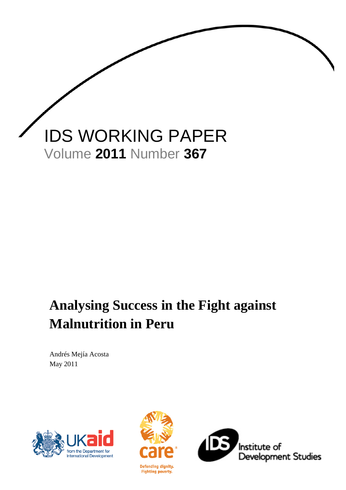

# **Analysing Success in the Fight against Malnutrition in Peru**

Andrés Mejía Acosta May 2011





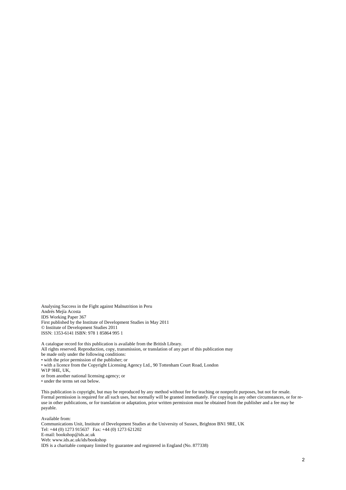Analysing Success in the Fight against Malnutrition in Peru Andrés Mejía Acosta IDS Working Paper 367 First published by the Institute of Development Studies in May 2011 © Institute of Development Studies 2011 ISSN: 1353-6141 ISBN: 978 1 85864 995 1

A catalogue record for this publication is available from the British Library. All rights reserved. Reproduction, copy, transmission, or translation of any part of this publication may be made only under the following conditions: • with the prior permission of the publisher; or • with a licence from the Copyright Licensing Agency Ltd., 90 Tottenham Court Road, London W1P 9HE, UK,

or from another national licensing agency; or

• under the terms set out below.

This publication is copyright, but may be reproduced by any method without fee for teaching or nonprofit purposes, but not for resale. Formal permission is required for all such uses, but normally will be granted immediately. For copying in any other circumstances, or for reuse in other publications, or for translation or adaptation, prior written permission must be obtained from the publisher and a fee may be payable.

Available from: Communications Unit, Institute of Development Studies at the University of Sussex, Brighton BN1 9RE, UK Tel: +44 (0) 1273 915637 Fax: +44 (0) 1273 621202 E-mail: bookshop@ids.ac.uk Web: www.ids.ac.uk/ids/bookshop IDS is a charitable company limited by guarantee and registered in England (No. 877338)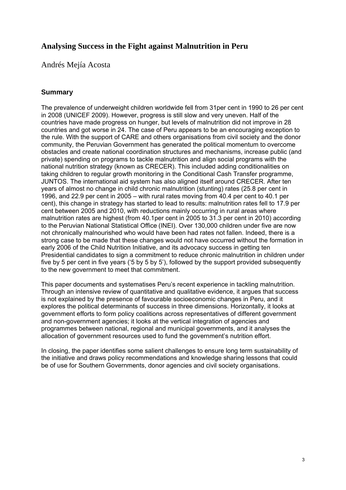## **Analysing Success in the Fight against Malnutrition in Peru**

Andrés Mejía Acosta

#### **Summary**

The prevalence of underweight children worldwide fell from 31per cent in 1990 to 26 per cent in 2008 (UNICEF 2009). However, progress is still slow and very uneven. Half of the countries have made progress on hunger, but levels of malnutrition did not improve in 28 countries and got worse in 24. The case of Peru appears to be an encouraging exception to the rule. With the support of CARE and others organisations from civil society and the donor community, the Peruvian Government has generated the political momentum to overcome obstacles and create national coordination structures and mechanisms, increase public (and private) spending on programs to tackle malnutrition and align social programs with the national nutrition strategy (known as CRECER). This included adding conditionalities on taking children to regular growth monitoring in the Conditional Cash Transfer programme, JUNTOS. The international aid system has also aligned itself around CRECER. After ten years of almost no change in child chronic malnutrition (stunting) rates (25.8 per cent in 1996, and 22.9 per cent in 2005 – with rural rates moving from 40.4 per cent to 40.1 per cent), this change in strategy has started to lead to results: malnutrition rates fell to 17.9 per cent between 2005 and 2010, with reductions mainly occurring in rural areas where malnutrition rates are highest (from 40.1per cent in 2005 to 31.3 per cent in 2010) according to the Peruvian National Statistical Office (INEI). Over 130,000 children under five are now not chronically malnourished who would have been had rates not fallen. Indeed, there is a strong case to be made that these changes would not have occurred without the formation in early 2006 of the Child Nutrition Initiative, and its advocacy success in getting ten Presidential candidates to sign a commitment to reduce chronic malnutrition in children under five by 5 per cent in five years ('5 by 5 by 5'), followed by the support provided subsequently to the new government to meet that commitment.

This paper documents and systematises Peru's recent experience in tackling malnutrition. Through an intensive review of quantitative and qualitative evidence, it argues that success is not explained by the presence of favourable socioeconomic changes in Peru, and it explores the political determinants of success in three dimensions. Horizontally, it looks at government efforts to form policy coalitions across representatives of different government and non-government agencies; it looks at the vertical integration of agencies and programmes between national, regional and municipal governments, and it analyses the allocation of government resources used to fund the government's nutrition effort.

In closing, the paper identifies some salient challenges to ensure long term sustainability of the initiative and draws policy recommendations and knowledge sharing lessons that could be of use for Southern Governments, donor agencies and civil society organisations.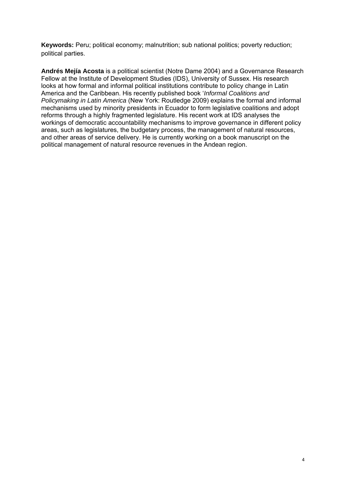**Keywords:** Peru; political economy; malnutrition; sub national politics; poverty reduction; political parties.

**Andrés Mejía Acosta** is a political scientist (Notre Dame 2004) and a Governance Research Fellow at the Institute of Development Studies (IDS), University of Sussex. His research looks at how formal and informal political institutions contribute to policy change in Latin America and the Caribbean. His recently published book '*Informal Coalitions and Policymaking in Latin America* (New York: Routledge 2009) explains the formal and informal mechanisms used by minority presidents in Ecuador to form legislative coalitions and adopt reforms through a highly fragmented legislature. His recent work at IDS analyses the workings of democratic accountability mechanisms to improve governance in different policy areas, such as legislatures, the budgetary process, the management of natural resources, and other areas of service delivery. He is currently working on a book manuscript on the political management of natural resource revenues in the Andean region.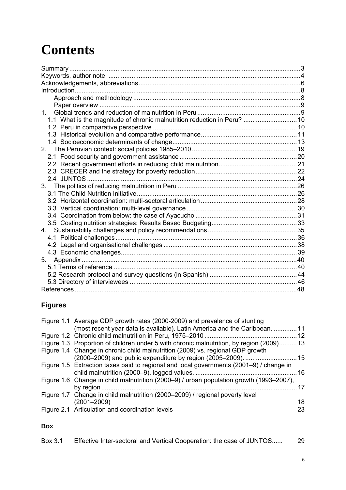# **Contents**

| $1_{-}$                                                                  |  |
|--------------------------------------------------------------------------|--|
| 1.1 What is the magnitude of chronic malnutrition reduction in Peru?  10 |  |
|                                                                          |  |
|                                                                          |  |
|                                                                          |  |
|                                                                          |  |
|                                                                          |  |
|                                                                          |  |
|                                                                          |  |
|                                                                          |  |
|                                                                          |  |
|                                                                          |  |
|                                                                          |  |
|                                                                          |  |
|                                                                          |  |
|                                                                          |  |
|                                                                          |  |
|                                                                          |  |
|                                                                          |  |
|                                                                          |  |
|                                                                          |  |
|                                                                          |  |
|                                                                          |  |
|                                                                          |  |
|                                                                          |  |

## **Figures**

| Figure 1.1 Average GDP growth rates (2000-2009) and prevalence of stunting<br>(most recent year data is available). Latin America and the Caribbean.  11 |    |
|----------------------------------------------------------------------------------------------------------------------------------------------------------|----|
|                                                                                                                                                          |    |
| Figure 1.3 Proportion of children under 5 with chronic malnutrition, by region (2009)13                                                                  |    |
| Figure 1.4 Change in chronic child malnutrition (2009) vs. regional GDP growth                                                                           |    |
| (2000–2009) and public expenditure by region (2005–2009).  15                                                                                            |    |
| Figure 1.5 Extraction taxes paid to regional and local governments (2001-9) / change in                                                                  |    |
|                                                                                                                                                          |    |
| Figure 1.6 Change in child malnutrition (2000–9) / urban population growth (1993–2007),                                                                  |    |
|                                                                                                                                                          | 17 |
| Figure 1.7 Change in child malnutrition (2000-2009) / regional poverty level                                                                             |    |
| $(2001 - 2009)$                                                                                                                                          | 18 |
| Figure 2.1 Articulation and coordination levels                                                                                                          | 23 |
|                                                                                                                                                          |    |

### **Box**

| Box 3.1 | Effective Inter-sectoral and Vertical Cooperation: the case of JUNTOS | 29 |
|---------|-----------------------------------------------------------------------|----|
|         |                                                                       |    |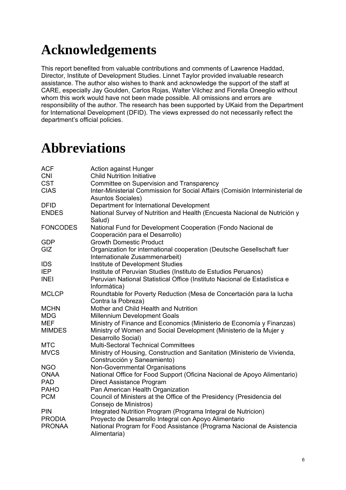## **Acknowledgements**

This report benefited from valuable contributions and comments of Lawrence Haddad, Director, Institute of Development Studies. Linnet Taylor provided invaluable research assistance. The author also wishes to thank and acknowledge the support of the staff at CARE, especially Jay Goulden, Carlos Rojas, Walter Vilchez and Fiorella Oneeglio without whom this work would have not been made possible. All omissions and errors are responsibility of the author. The research has been supported by UKaid from the Department for International Development (DFID). The views expressed do not necessarily reflect the department's official policies.

## **Abbreviations**

| <b>ACF</b>      | Action against Hunger                                                                                     |
|-----------------|-----------------------------------------------------------------------------------------------------------|
| <b>CNI</b>      | <b>Child Nutrition Initiative</b>                                                                         |
| <b>CST</b>      | Committee on Supervision and Transparency                                                                 |
| <b>CIAS</b>     | Inter-Ministerial Commission for Social Affairs (Comisión Interministerial de<br><b>Asuntos Sociales)</b> |
| <b>DFID</b>     | Department for International Development                                                                  |
| <b>ENDES</b>    | National Survey of Nutrition and Health (Encuesta Nacional de Nutrición y<br>Salud)                       |
| <b>FONCODES</b> | National Fund for Development Cooperation (Fondo Nacional de<br>Cooperación para el Desarrollo)           |
| <b>GDP</b>      | <b>Growth Domestic Product</b>                                                                            |
| GIZ             | Organization for international cooperation (Deutsche Gesellschaft fuer<br>Internationale Zusammenarbeit)  |
| <b>IDS</b>      | Institute of Development Studies                                                                          |
| <b>IEP</b>      | Institute of Peruvian Studies (Instituto de Estudios Peruanos)                                            |
| <b>INEI</b>     | Peruvian National Statistical Office (Instituto Nacional de Estadística e<br>Informática)                 |
| <b>MCLCP</b>    | Roundtable for Poverty Reduction (Mesa de Concertación para la lucha<br>Contra la Pobreza)                |
| <b>MCHN</b>     | Mother and Child Health and Nutrition                                                                     |
| <b>MDG</b>      | Millennium Development Goals                                                                              |
| <b>MEF</b>      | Ministry of Finance and Economics (Ministerio de Economía y Finanzas)                                     |
| <b>MIMDES</b>   | Ministry of Women and Social Development (Ministerio de la Mujer y<br>Desarrollo Social)                  |
| <b>MTC</b>      | <b>Multi-Sectoral Technical Committees</b>                                                                |
| <b>MVCS</b>     | Ministry of Housing, Construction and Sanitation (Ministerio de Vivienda,<br>Construcción y Saneamiento)  |
| <b>NGO</b>      | Non-Governmental Organisations                                                                            |
| <b>ONAA</b>     | National Office for Food Support (Oficina Nacional de Apoyo Alimentario)                                  |
| <b>PAD</b>      | <b>Direct Assistance Program</b>                                                                          |
| <b>PAHO</b>     | Pan American Health Organization                                                                          |
| <b>PCM</b>      | Council of Ministers at the Office of the Presidency (Presidencia del<br>Consejo de Ministros)            |
| <b>PIN</b>      | Integrated Nutrition Program (Programa Integral de Nutricion)                                             |
| <b>PRODIA</b>   | Proyecto de Desarrollo Integral con Apoyo Alimentario                                                     |
| <b>PRONAA</b>   | National Program for Food Assistance (Programa Nacional de Asistencia<br>Alimentaria)                     |
|                 |                                                                                                           |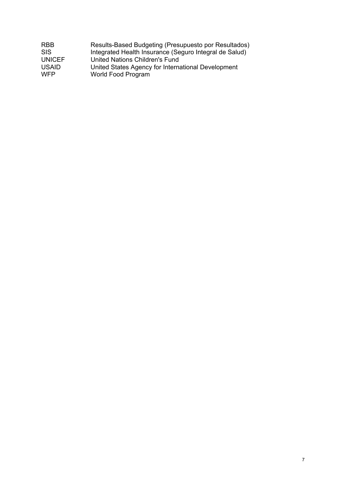| <b>RBB</b>    | Results-Based Budgeting (Presupuesto por Resultados)   |
|---------------|--------------------------------------------------------|
| <b>SIS</b>    | Integrated Health Insurance (Seguro Integral de Salud) |
| <b>UNICEF</b> | United Nations Children's Fund                         |
| USAID         | United States Agency for International Development     |
| <b>WFP</b>    | World Food Program                                     |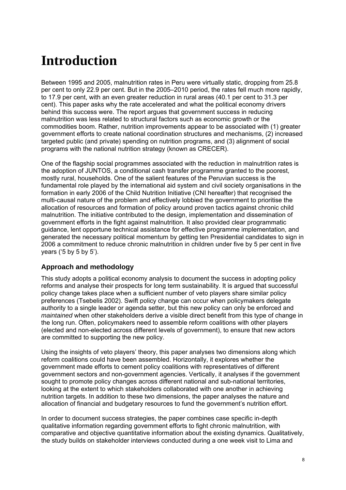## **Introduction**

Between 1995 and 2005, malnutrition rates in Peru were virtually static, dropping from 25.8 per cent to only 22.9 per cent. But in the 2005–2010 period, the rates fell much more rapidly, to 17.9 per cent, with an even greater reduction in rural areas (40.1 per cent to 31.3 per cent). This paper asks why the rate accelerated and what the political economy drivers behind this success were. The report argues that government success in reducing malnutrition was less related to structural factors such as economic growth or the commodities boom. Rather, nutrition improvements appear to be associated with (1) greater government efforts to create national coordination structures and mechanisms, (2) increased targeted public (and private) spending on nutrition programs, and (3) alignment of social programs with the national nutrition strategy (known as CRECER).

One of the flagship social programmes associated with the reduction in malnutrition rates is the adoption of JUNTOS, a conditional cash transfer programme granted to the poorest, mostly rural, households. One of the salient features of the Peruvian success is the fundamental role played by the international aid system and civil society organisations in the formation in early 2006 of the Child Nutrition Initiative (CNI hereafter) that recognised the multi-causal nature of the problem and effectively lobbied the government to prioritise the allocation of resources and formation of policy around proven tactics against chronic child malnutrition. The initiative contributed to the design, implementation and dissemination of government efforts in the fight against malnutrition. It also provided clear programmatic guidance, lent opportune technical assistance for effective programme implementation, and generated the necessary political momentum by getting ten Presidential candidates to sign in 2006 a commitment to reduce chronic malnutrition in children under five by 5 per cent in five years ('5 by 5 by 5').

### **Approach and methodology**

This study adopts a political economy analysis to document the success in adopting policy reforms and analyse their prospects for long term sustainability. It is argued that successful policy change takes place when a sufficient number of veto players share similar policy preferences (Tsebelis 2002). Swift policy change can occur when policymakers delegate authority to a single leader or agenda setter, but this new policy can only be enforced and *maintained* when other stakeholders derive a visible direct benefit from this type of change in the long run. Often, policymakers need to assemble reform coalitions with other players (elected and non-elected across different levels of government), to ensure that new actors are committed to supporting the new policy.

Using the insights of veto players' theory, this paper analyses two dimensions along which reform coalitions could have been assembled. Horizontally, it explores whether the government made efforts to cement policy coalitions with representatives of different government sectors and non-government agencies. Vertically, it analyses if the government sought to promote policy changes across different national and sub-national territories, looking at the extent to which stakeholders collaborated with one another in achieving nutrition targets. In addition to these two dimensions, the paper analyses the nature and allocation of financial and budgetary resources to fund the government's nutrition effort.

In order to document success strategies, the paper combines case specific in-depth qualitative information regarding government efforts to fight chronic malnutrition, with comparative and objective quantitative information about the existing dynamics. Qualitatively, the study builds on stakeholder interviews conducted during a one week visit to Lima and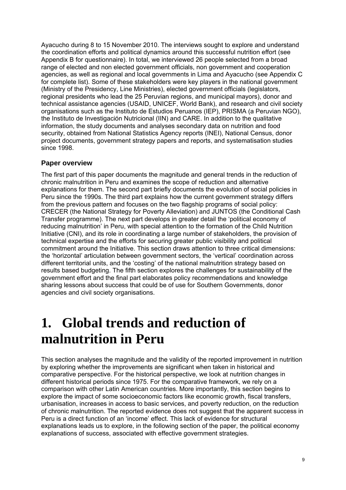Ayacucho during 8 to 15 November 2010. The interviews sought to explore and understand the coordination efforts and political dynamics around this successful nutrition effort (see Appendix B for questionnaire). In total, we interviewed 26 people selected from a broad range of elected and non elected government officials, non government and cooperation agencies, as well as regional and local governments in Lima and Ayacucho (see Appendix C for complete list). Some of these stakeholders were key players in the national government (Ministry of the Presidency, Line Ministries), elected government officials (legislators, regional presidents who lead the 25 Peruvian regions, and municipal mayors), donor and technical assistance agencies (USAID, UNICEF, World Bank), and research and civil society organisations such as the Instituto de Estudios Peruanos (IEP), PRISMA (a Peruvian NGO), the Instituto de Investigación Nutricional (IIN) and CARE. In addition to the qualitative information, the study documents and analyses secondary data on nutrition and food security, obtained from National Statistics Agency reports (INEI), National Census, donor project documents, government strategy papers and reports, and systematisation studies since 1998.

#### **Paper overview**

The first part of this paper documents the magnitude and general trends in the reduction of chronic malnutrition in Peru and examines the scope of reduction and alternative explanations for them. The second part briefly documents the evolution of social policies in Peru since the 1990s. The third part explains how the current government strategy differs from the previous pattern and focuses on the two flagship programs of social policy: CRECER (the National Strategy for Poverty Alleviation) and JUNTOS (the Conditional Cash Transfer programme). The next part develops in greater detail the 'political economy of reducing malnutrition' in Peru, with special attention to the formation of the Child Nutrition Initiative (CNI), and its role in coordinating a large number of stakeholders, the provision of technical expertise and the efforts for securing greater public visibility and political commitment around the Initiative. This section draws attention to three critical dimensions: the 'horizontal' articulation between government sectors, the 'vertical' coordination across different territorial units, and the 'costing' of the national malnutrition strategy based on results based budgeting. The fifth section explores the challenges for sustainability of the government effort and the final part elaborates policy recommendations and knowledge sharing lessons about success that could be of use for Southern Governments, donor agencies and civil society organisations.

## **1. Global trends and reduction of malnutrition in Peru**

This section analyses the magnitude and the validity of the reported improvement in nutrition by exploring whether the improvements are significant when taken in historical and comparative perspective. For the historical perspective, we look at nutrition changes in different historical periods since 1975. For the comparative framework, we rely on a comparison with other Latin American countries. More importantly, this section begins to explore the impact of some socioeconomic factors like economic growth, fiscal transfers, urbanisation, increases in access to basic services, and poverty reduction, on the reduction of chronic malnutrition. The reported evidence does not suggest that the apparent success in Peru is a direct function of an 'income' effect. This lack of evidence for structural explanations leads us to explore, in the following section of the paper, the political economy explanations of success, associated with effective government strategies.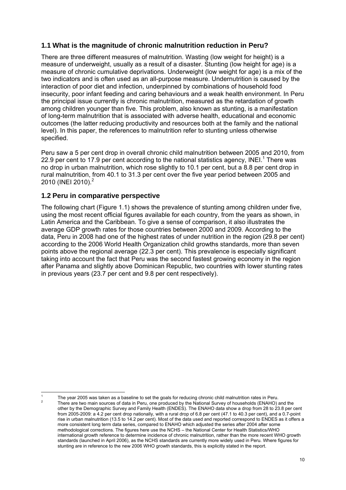#### **1.1 What is the magnitude of chronic malnutrition reduction in Peru?**

There are three different measures of malnutrition. Wasting (low weight for height) is a measure of underweight, usually as a result of a disaster. Stunting (low height for age) is a measure of chronic cumulative deprivations. Underweight (low weight for age) is a mix of the two indicators and is often used as an all-purpose measure. Undernutrition is caused by the interaction of poor diet and infection, underpinned by combinations of household food insecurity, poor infant feeding and caring behaviours and a weak health environment. In Peru the principal issue currently is chronic malnutrition, measured as the retardation of growth among children younger than five. This problem, also known as stunting, is a manifestation of long-term malnutrition that is associated with adverse health, educational and economic outcomes (the latter reducing productivity and resources both at the family and the national level). In this paper, the references to malnutrition refer to stunting unless otherwise specified.

Peru saw a 5 per cent drop in overall chronic child malnutrition between 2005 and 2010, from 22.9 per cent to 17.9 per cent according to the national statistics agency, INEI.<sup>1</sup> There was no drop in urban malnutrition, which rose slightly to 10.1 per cent, but a 8.8 per cent drop in rural malnutrition, from 40.1 to 31.3 per cent over the five year period between 2005 and 2010 (INEI 2010).<sup>2</sup>

#### **1.2 Peru in comparative perspective**

The following chart (Figure 1.1) shows the prevalence of stunting among children under five, using the most recent official figures available for each country, from the years as shown, in Latin America and the Caribbean. To give a sense of comparison, it also illustrates the average GDP growth rates for those countries between 2000 and 2009. According to the data, Peru in 2008 had one of the highest rates of under nutrition in the region (29.8 per cent) according to the 2006 World Health Organization child growths standards, more than seven points above the regional average (22.3 per cent). This prevalence is especially significant taking into account the fact that Peru was the second fastest growing economy in the region after Panama and slightly above Dominican Republic, two countries with lower stunting rates in previous years (23.7 per cent and 9.8 per cent respectively).

<sup>-</sup>1

The year 2005 was taken as a baseline to set the goals for reducing chronic child malnutrition rates in Peru. There are two main sources of data in Peru, one produced by the National Survey of households (ENAHO) and the other by the Demographic Survey and Family Health (ENDES). The ENAHO data show a drop from 28 to 23.8 per cent from 2005-2009: a 4.2 per cent drop nationally, with a rural drop of 6.8 per cent (47.1 to 40.3 per cent), and a 0.7-point rise in urban malnutrition (13.5 to 14.2 per cent). Most of the data used and reported correspond to ENDES as it offers a more consistent long term data series, compared to ENAHO which adjusted the series after 2004 after some methodological corrections. The figures here use the NCHS – the National Center for Health Statistics/WHO international growth reference to determine incidence of chronic malnutrition, rather than the more recent WHO growth standards (launched in April 2006), as the NCHS standards are currently more widely used in Peru. Where figures for stunting are in reference to the new 2006 WHO growth standards, this is explicitly stated in the report.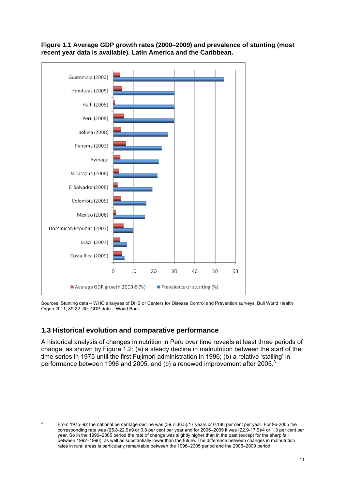

**Figure 1.1 Average GDP growth rates (2000–2009) and prevalence of stunting (most recent year data is available). Latin America and the Caribbean.** 

Sources: Stunting data – WHO analyses of DHS or Centers for Disease Control and Prevention surveys, Bull World Health Organ 2011; 89:22–30. GDP data – World Bank.

## **1.3 Historical evolution and comparative performance**

A historical analysis of changes in nutrition in Peru over time reveals at least three periods of change, as shown by Figure 1.2: (a) a steady decline in malnutrition between the start of the time series in 1975 until the first Fujimori administration in 1996; (b) a relative 'stalling' in performance between 1996 and 2005, and (c) a renewed improvement after 2005. $3$ 

 $\overline{a}$ 3

From 1975–92 the national percentage decline was (39.7-36.5)/17 years or 0.188 per cent per year. For 96-2005 the corresponding rate was (25.8-22.9)/9 or 0.3 per cent per year and for 2005–2009 it was (22.9-17.9)/4 or 1.3 per cent per year. So in the 1996–2005 period the rate of change was slightly higher than in the past (except for the sharp fall between 1992–1996), as well as substantially lower than the future. The difference between changes in malnutrition rates in rural areas is particularly remarkable between the 1996–2005 period and the 2005–2009 period.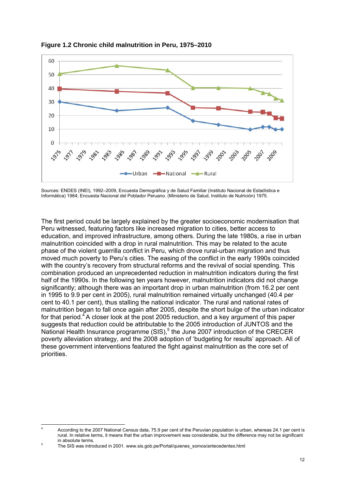

**Figure 1.2 Chronic child malnutrition in Peru, 1975–2010** 

Sources: ENDES (INEI), 1992–2009, Encuesta Demográfica y de Salud Familiar (Instituto Nacional de Estadística e Informática) 1984; Encuesta Nacional del Poblador Peruano. (Ministerio de Salud, Instituto de Nutrición) 1975.

The first period could be largely explained by the greater socioeconomic modernisation that Peru witnessed, featuring factors like increased migration to cities, better access to education, and improved infrastructure, among others. During the late 1980s, a rise in urban malnutrition coincided with a drop in rural malnutrition. This may be related to the acute phase of the violent guerrilla conflict in Peru, which drove rural-urban migration and thus moved much poverty to Peru's cities. The easing of the conflict in the early 1990s coincided with the country's recovery from structural reforms and the revival of social spending. This combination produced an unprecedented reduction in malnutrition indicators during the first half of the 1990s. In the following ten years however, malnutrition indicators did not change significantly; although there was an important drop in urban malnutrition (from 16.2 per cent in 1995 to 9.9 per cent in 2005), rural malnutrition remained virtually unchanged (40.4 per cent to 40.1 per cent), thus stalling the national indicator. The rural and national rates of malnutrition began to fall once again after 2005, despite the short bulge of the urban indicator for that period.<sup>4</sup> A closer look at the post 2005 reduction, and a key argument of this paper suggests that reduction could be attributable to the 2005 introduction of JUNTOS and the National Health Insurance programme (SIS),<sup>5</sup> the June 2007 introduction of the CRECER poverty alleviation strategy, and the 2008 adoption of 'budgeting for results' approach. All of these government interventions featured the fight against malnutrition as the core set of priorities.

<sup>-</sup>4 According to the 2007 National Census data, 75.9 per cent of the Peruvian population is urban, whereas 24.1 per cent is rural. In relative terms, it means that the urban improvement was considerable, but the difference may not be significant in absolute terms.

The SIS was introduced in 2001. www.sis.gob.pe/Portal/quienes\_somos/antecedentes.html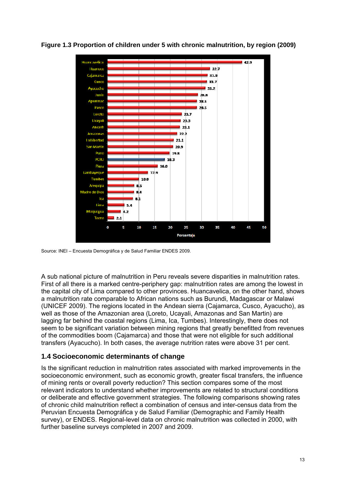

**Figure 1.3 Proportion of children under 5 with chronic malnutrition, by region (2009)** 

Source: INEI – Encuesta Demográfica y de Salud Familiar ENDES 2009.

A sub national picture of malnutrition in Peru reveals severe disparities in malnutrition rates. First of all there is a marked centre-periphery gap: malnutrition rates are among the lowest in the capital city of Lima compared to other provinces. Huancavelica, on the other hand, shows a malnutrition rate comparable to African nations such as Burundi, Madagascar or Malawi (UNICEF 2009). The regions located in the Andean sierra (Cajamarca, Cusco, Ayacucho), as well as those of the Amazonian area (Loreto, Ucayali, Amazonas and San Martin) are lagging far behind the coastal regions (Lima, Ica, Tumbes). Interestingly, there does not seem to be significant variation between mining regions that greatly benefitted from revenues of the commodities boom (Cajamarca) and those that were not eligible for such additional transfers (Ayacucho). In both cases, the average nutrition rates were above 31 per cent.

#### **1.4 Socioeconomic determinants of change**

Is the significant reduction in malnutrition rates associated with marked improvements in the socioeconomic environment, such as economic growth, greater fiscal transfers, the influence of mining rents or overall poverty reduction? This section compares some of the most relevant indicators to understand whether improvements are related to structural conditions or deliberate and effective government strategies. The following comparisons showing rates of chronic child malnutrition reflect a combination of census and inter-census data from the Peruvian Encuesta Demográfica y de Salud Familiar (Demographic and Family Health survey), or ENDES. Regional-level data on chronic malnutrition was collected in 2000, with further baseline surveys completed in 2007 and 2009.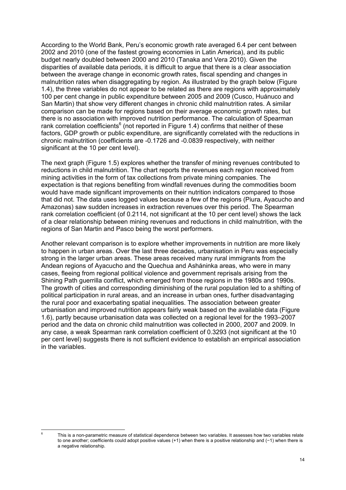According to the World Bank, Peru's economic growth rate averaged 6.4 per cent between 2002 and 2010 (one of the fastest growing economies in Latin America), and its public budget nearly doubled between 2000 and 2010 (Tanaka and Vera 2010). Given the disparities of available data periods, it is difficult to argue that there is a clear association between the average change in economic growth rates, fiscal spending and changes in malnutrition rates when disaggregating by region. As illustrated by the graph below (Figure 1.4), the three variables do not appear to be related as there are regions with approximately 100 per cent change in public expenditure between 2005 and 2009 (Cusco, Huánuco and San Martin) that show very different changes in chronic child malnutrition rates. A similar comparison can be made for regions based on their average economic growth rates, but there is no association with improved nutrition performance. The calculation of Spearman rank correlation coefficients $6 \text{ (not reported in Figure 1.4)}$  confirms that neither of these factors, GDP growth or public expenditure, are significantly correlated with the reductions in chronic malnutrition (coefficients are -0.1726 and -0.0839 respectively, with neither significant at the 10 per cent level).

The next graph (Figure 1.5) explores whether the transfer of mining revenues contributed to reductions in child malnutrition. The chart reports the revenues each region received from mining activities in the form of tax collections from private mining companies. The expectation is that regions benefiting from windfall revenues during the commodities boom would have made significant improvements on their nutrition indicators compared to those that did not. The data uses logged values because a few of the regions (Piura, Ayacucho and Amazonas) saw sudden increases in extraction revenues over this period. The Spearman rank correlation coefficient (of 0.2114, not significant at the 10 per cent level) shows the lack of a clear relationship between mining revenues and reductions in child malnutrition, with the regions of San Martin and Pasco being the worst performers.

Another relevant comparison is to explore whether improvements in nutrition are more likely to happen in urban areas. Over the last three decades, urbanisation in Peru was especially strong in the larger urban areas. These areas received many rural immigrants from the Andean regions of Ayacucho and the Quechua and Asháninka areas, who were in many cases, fleeing from regional political violence and government reprisals arising from the Shining Path guerrilla conflict, which emerged from those regions in the 1980s and 1990s. The growth of cities and corresponding diminishing of the rural population led to a shifting of political participation in rural areas, and an increase in urban ones, further disadvantaging the rural poor and exacerbating spatial inequalities. The association between greater urbanisation and improved nutrition appears fairly weak based on the available data (Figure 1.6), partly because urbanisation data was collected on a regional level for the 1993–2007 period and the data on chronic child malnutrition was collected in 2000, 2007 and 2009. In any case, a weak Spearman rank correlation coefficient of 0.3293 (not significant at the 10 per cent level) suggests there is not sufficient evidence to establish an empirical association in the variables.

<sup>-</sup>6

This is a non-parametric measure of statistical dependence between two variables. It assesses how two variables relate to one another; coefficients could adopt positive values (+1) when there is a positive relationship and (−1) when there is a negative relationship.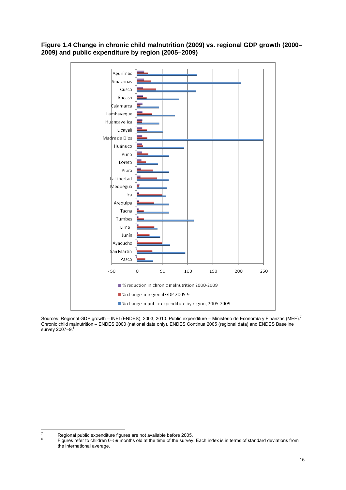**Figure 1.4 Change in chronic child malnutrition (2009) vs. regional GDP growth (2000– 2009) and public expenditure by region (2005–2009)** 



Sources: Regional GDP growth – INEI (ENDES), 2003, 2010. Public expenditure – Ministerio de Economía y Finanzas (MEF).<sup>7</sup> Chronic child malnutrition – ENDES 2000 (national data only), ENDES Continua 2005 (regional data) and ENDES Baseline survey 2007-9.<sup>8</sup>

<sup>–&</sup>lt;br>7  $R_{\text{e}}$  Regional public expenditure figures are not available before 2005.

Figures refer to children 0–59 months old at the time of the survey. Each index is in terms of standard deviations from the international average.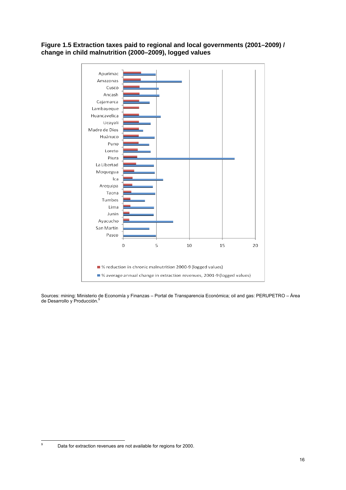#### **Figure 1.5 Extraction taxes paid to regional and local governments (2001–2009) / change in child malnutrition (2000–2009), logged values**



Sources: mining: Ministerio de Economía y Finanzas – Portal de Transparencia Económica; oil and gas: PERUPETRO – Área de Desarrollo y Producción.<sup>9</sup>

–<br>9

Data for extraction revenues are not available for regions for 2000.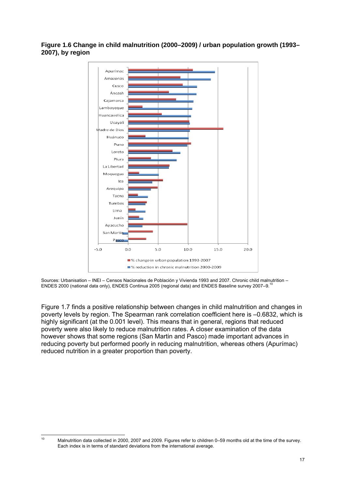#### **Figure 1.6 Change in child malnutrition (2000–2009) / urban population growth (1993– 2007), by region**



Sources: Urbanisation – INEI – Censos Nacionales de Población y Vivienda 1993 and 2007. Chronic child malnutrition – ENDES 2000 (national data only), ENDES Continua 2005 (regional data) and ENDES Baseline survey 2007–9.<sup>1</sup>

Figure 1.7 finds a positive relationship between changes in child malnutrition and changes in poverty levels by region. The Spearman rank correlation coefficient here is –0.6832, which is highly significant (at the 0.001 level). This means that in general, regions that reduced poverty were also likely to reduce malnutrition rates. A closer examination of the data however shows that some regions (San Martin and Pasco) made important advances in reducing poverty but performed poorly in reducing malnutrition, whereas others (Apurímac) reduced nutrition in a greater proportion than poverty.

 $\overline{10}$ 

Malnutrition data collected in 2000, 2007 and 2009. Figures refer to children 0–59 months old at the time of the survey. Each index is in terms of standard deviations from the international average.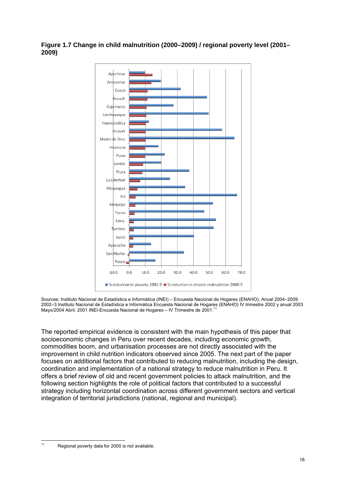**Figure 1.7 Change in child malnutrition (2000–2009) / regional poverty level (2001– 2009)** 



Sources: Instituto Nacional de Estadística e Informática (INEI) – Encuesta Nacional de Hogares (ENAHO), Anual 2004–2009. 2002–3 Instituto Nacional de Estadística e Informática Encuesta Nacional de Hogares (ENAHO) IV trimestre 2002 y anual 2003 Mayo/2004 Abril. 2001 INEI-Encuesta Nacional de Hogares – IV Trimestre de 2001.

The reported empirical evidence is consistent with the main hypothesis of this paper that socioeconomic changes in Peru over recent decades, including economic growth, commodities boom, and urbanisation processes are not directly associated with the improvement in child nutrition indicators observed since 2005. The next part of the paper focuses on additional factors that contributed to reducing malnutrition, including the design, coordination and implementation of a national strategy to reduce malnutrition in Peru. It offers a brief review of old and recent government policies to attack malnutrition, and the following section highlights the role of political factors that contributed to a successful strategy including horizontal coordination across different government sectors and vertical integration of territorial jurisdictions (national, regional and municipal).

 $11$ 

Regional poverty data for 2000 is not available.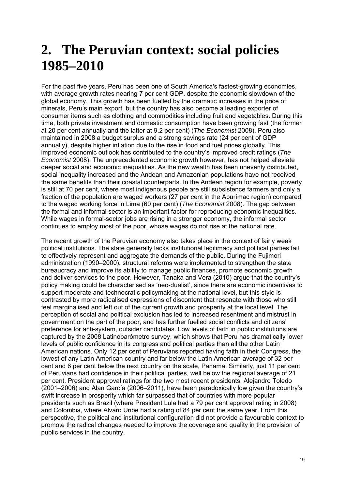## **2. The Peruvian context: social policies 1985–2010**

For the past five years, Peru has been one of South America's fastest-growing economies, with average growth rates nearing 7 per cent GDP, despite the economic slowdown of the global economy. This growth has been fuelled by the dramatic increases in the price of minerals, Peru's main export, but the country has also become a leading exporter of consumer items such as clothing and commodities including fruit and vegetables. During this time, both private investment and domestic consumption have been growing fast (the former at 20 per cent annually and the latter at 9.2 per cent) (*The Economist* 2008). Peru also maintained in 2008 a budget surplus and a strong savings rate (24 per cent of GDP annually), despite higher inflation due to the rise in food and fuel prices globally. This improved economic outlook has contributed to the country's improved credit ratings (*The Economist* 2008). The unprecedented economic growth however, has not helped alleviate deeper social and economic inequalities. As the new wealth has been unevenly distributed, social inequality increased and the Andean and Amazonian populations have not received the same benefits than their coastal counterparts. In the Andean region for example, poverty is still at 70 per cent, where most indigenous people are still subsistence farmers and only a fraction of the population are waged workers (27 per cent in the Apurímac region) compared to the waged working force in Lima (60 per cent) (*The Economist* 2008). The gap between the formal and informal sector is an important factor for reproducing economic inequalities. While wages in formal-sector jobs are rising in a stronger economy, the informal sector continues to employ most of the poor, whose wages do not rise at the national rate.

The recent growth of the Peruvian economy also takes place in the context of fairly weak political institutions. The state generally lacks institutional legitimacy and political parties fail to effectively represent and aggregate the demands of the public. During the Fujimori administration (1990–2000), structural reforms were implemented to strengthen the state bureaucracy and improve its ability to manage public finances, promote economic growth and deliver services to the poor. However, Tanaka and Vera (2010) argue that the country's policy making could be characterised as 'neo-dualist', since there are economic incentives to support moderate and technocratic policymaking at the national level, but this style is contrasted by more radicalised expressions of discontent that resonate with those who still feel marginalised and left out of the current growth and prosperity at the local level. The perception of social and political exclusion has led to increased resentment and mistrust in government on the part of the poor, and has further fuelled social conflicts and citizens' preference for anti-system, outsider candidates. Low levels of faith in public institutions are captured by the 2008 Latinobarómetro survey, which shows that Peru has dramatically lower levels of public confidence in its congress and political parties than all the other Latin American nations. Only 12 per cent of Peruvians reported having faith in their Congress, the lowest of any Latin American country and far below the Latin American average of 32 per cent and 6 per cent below the next country on the scale, Panama. Similarly, just 11 per cent of Peruvians had confidence in their political parties, well below the regional average of 21 per cent. President approval ratings for the two most recent presidents, Alejandro Toledo (2001–2006) and Alan García (2006–2011), have been paradoxically low given the country's swift increase in prosperity which far surpassed that of countries with more popular presidents such as Brazil (where President Lula had a 79 per cent approval rating in 2008) and Colombia, where Alvaro Uribe had a rating of 84 per cent the same year. From this perspective, the political and institutional configuration did not provide a favourable context to promote the radical changes needed to improve the coverage and quality in the provision of public services in the country.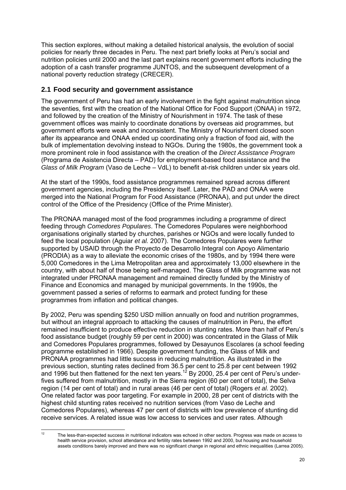This section explores, without making a detailed historical analysis, the evolution of social policies for nearly three decades in Peru. The next part briefly looks at Peru's social and nutrition policies until 2000 and the last part explains recent government efforts including the adoption of a cash transfer programme JUNTOS, and the subsequent development of a national poverty reduction strategy (CRECER).

#### **2.1 Food security and government assistance**

The government of Peru has had an early involvement in the fight against malnutrition since the seventies, first with the creation of the National Office for Food Support (ONAA) in 1972, and followed by the creation of the Ministry of Nourishment in 1974. The task of these government offices was mainly to coordinate donations by overseas aid programmes, but government efforts were weak and inconsistent. The Ministry of Nourishment closed soon after its appearance and ONAA ended up coordinating only a fraction of food aid, with the bulk of implementation devolving instead to NGOs. During the 1980s, the government took a more prominent role in food assistance with the creation of the *Direct Assistance Program* (Programa de Asistencia Directa – PAD) for employment-based food assistance and the *Glass of Milk Program* (Vaso de Leche – VdL) to benefit at-risk children under six years old.

At the start of the 1990s, food assistance programmes remained spread across different government agencies, including the Presidency itself. Later, the PAD and ONAA were merged into the National Program for Food Assistance (PRONAA), and put under the direct control of the Office of the Presidency (Office of the Prime Minister).

The PRONAA managed most of the food programmes including a programme of direct feeding through *Comedores Populares*. The Comedores Populares were neighborhood organisations originally started by churches, parishes or NGOs and were locally funded to feed the local population (Aguiar *et al.* 2007). The Comedores Populares were further supported by USAID through the Proyecto de Desarrollo Integral con Apoyo Alimentario (PRODIA) as a way to alleviate the economic crises of the 1980s, and by 1994 there were 5,000 Comedores in the Lima Metropolitan area and approximately 13,000 elsewhere in the country, with about half of those being self-managed. The Glass of Milk programme was not integrated under PRONAA management and remained directly funded by the Ministry of Finance and Economics and managed by municipal governments. In the 1990s, the government passed a series of reforms to earmark and protect funding for these programmes from inflation and political changes.

By 2002, Peru was spending \$250 USD million annually on food and nutrition programmes, but without an integral approach to attacking the causes of malnutrition in Peru, the effort remained insufficient to produce effective reduction in stunting rates. More than half of Peru's food assistance budget (roughly 59 per cent in 2000) was concentrated in the Glass of Milk and Comedores Populares programmes, followed by Desayunos Escolares (a school feeding programme established in 1966). Despite government funding, the Glass of Milk and PRONAA programmes had little success in reducing malnutrition. As illustrated in the previous section, stunting rates declined from 36.5 per cent to 25.8 per cent between 1992 and 1996 but then flattened for the next ten years.<sup>12</sup> By 2000, 25.4 per cent of Peru's underfives suffered from malnutrition, mostly in the Sierra region (60 per cent of total), the Selva region (14 per cent of total) and in rural areas (46 per cent of total) (Rogers *et al.* 2002). One related factor was poor targeting. For example in 2000, 28 per cent of districts with the highest child stunting rates received no nutrition services (from Vaso de Leche and Comedores Populares), whereas 47 per cent of districts with low prevalence of stunting did receive services. A related issue was low access to services and user rates. Although

 $12$ 12 The less-than-expected success in nutritional indicators was echoed in other sectors. Progress was made on access to health service provision, school attendance and fertility rates between 1992 and 2000, but housing and household assets conditions barely improved and there was no significant change in regional and ethnic inequalities (Larrea 2005).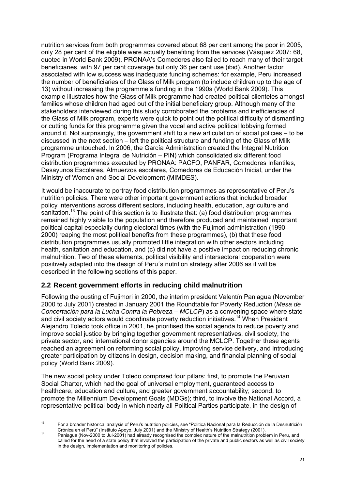nutrition services from both programmes covered about 68 per cent among the poor in 2005, only 28 per cent of the eligible were actually benefiting from the services (Vásquez 2007: 68, quoted in World Bank 2009). PRONAA's Comedores also failed to reach many of their target beneficiaries, with 97 per cent coverage but only 36 per cent use (ibid). Another factor associated with low success was inadequate funding schemes: for example, Peru increased the number of beneficiaries of the Glass of Milk program (to include children up to the age of 13) without increasing the programme's funding in the 1990s (World Bank 2009). This example illustrates how the Glass of Milk programme had created political clienteles amongst families whose children had aged out of the initial beneficiary group. Although many of the stakeholders interviewed during this study corroborated the problems and inefficiencies of the Glass of Milk program, experts were quick to point out the political difficulty of dismantling or cutting funds for this programme given the vocal and active political lobbying formed around it. Not surprisingly, the government shift to a new articulation of social policies – to be discussed in the next section – left the political structure and funding of the Glass of Milk programme untouched. In 2006, the García Administration created the Integral Nutrition Program (Programa Integral de Nutrición – PIN) which consolidated six different food distribution programmes executed by PRONAA: PACFO, PANFAR, Comedores Infantiles, Desayunos Escolares, Almuerzos escolares, Comedores de Educación Inicial, under the Ministry of Women and Social Development (MIMDES).

It would be inaccurate to portray food distribution programmes as representative of Peru's nutrition policies. There were other important government actions that included broader policy interventions across different sectors, including health, education, agriculture and sanitation.<sup>13</sup> The point of this section is to illustrate that: (a) food distribution programmes remained highly visible to the population and therefore produced and maintained important political capital especially during electoral times (with the Fujimori administration (1990– 2000) reaping the most political benefits from these programmes), (b) that these food distribution programmes usually promoted little integration with other sectors including health, sanitation and education, and (c) did not have a positive impact on reducing chronic malnutrition. Two of these elements, political visibility and intersectoral cooperation were positively adapted into the design of Peru´s nutrition strategy after 2006 as it will be described in the following sections of this paper.

### **2.2 Recent government efforts in reducing child malnutrition**

Following the ousting of Fujimori in 2000, the interim president Valentín Paniagua (November 2000 to July 2001) created in January 2001 the Roundtable for Poverty Reduction (*Mesa de Concertación para la Lucha Contra la Pobreza – MCLCP*) as a convening space where state and civil society actors would coordinate poverty reduction initiatives.<sup>14</sup> When President Alejandro Toledo took office in 2001, he prioritised the social agenda to reduce poverty and improve social justice by bringing together government representatives, civil society, the private sector, and international donor agencies around the MCLCP. Together these agents reached an agreement on reforming social policy, improving service delivery, and introducing greater participation by citizens in design, decision making, and financial planning of social policy (World Bank 2009).

The new social policy under Toledo comprised four pillars: first, to promote the Peruvian Social Charter, which had the goal of universal employment, guaranteed access to healthcare, education and culture, and greater government accountability; second, to promote the Millennium Development Goals (MDGs); third, to involve the National Accord, a representative political body in which nearly all Political Parties participate, in the design of

 $13$ For a broader historical analysis of Peru's nutrition policies, see "Politica Nacional para la Reducción de la Desnutrición<br>Crónica en el Perú" (Instituto Apoyo, July 2001) and the Ministry of Health's Nutrition Strategy (

Crónica en el Perú" (Instituto Apoyo, July 2001) and the Ministry of Health's Nutrition Strategy (2001). 14 Paniagua (Nov-2000 to Jul-2001) had already recognised the complex nature of the malnutrition problem in Peru, and called for the need of a state policy that involved the participation of the private and public sectors as well as civil society in the design, implementation and monitoring of policies.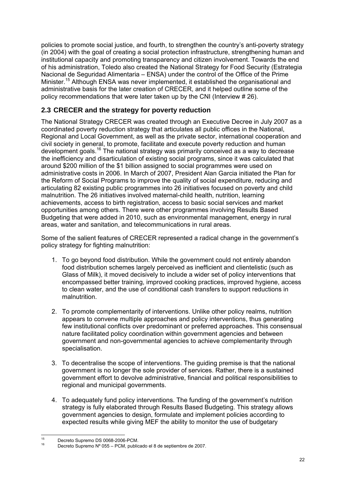policies to promote social justice, and fourth, to strengthen the country's anti-poverty strategy (in 2004) with the goal of creating a social protection infrastructure, strengthening human and institutional capacity and promoting transparency and citizen involvement. Towards the end of his administration, Toledo also created the National Strategy for Food Security (Estrategia Nacional de Seguridad Alimentaria – ENSA) under the control of the Office of the Prime Minister.<sup>15</sup> Although ENSA was never implemented, it established the organisational and administrative basis for the later creation of CRECER, and it helped outline some of the policy recommendations that were later taken up by the CNI (Interview # 26).

### **2.3 CRECER and the strategy for poverty reduction**

The National Strategy CRECER was created through an Executive Decree in July 2007 as a coordinated poverty reduction strategy that articulates all public offices in the National, Regional and Local Government, as well as the private sector, international cooperation and civil society in general, to promote, facilitate and execute poverty reduction and human development goals.<sup>16</sup> The national strategy was primarily conceived as a way to decrease the inefficiency and disarticulation of existing social programs, since it was calculated that around \$200 million of the \$1 billion assigned to social programmes were used on administrative costs in 2006. In March of 2007, President Alan Garcia initiated the Plan for the Reform of Social Programs to improve the quality of social expenditure, reducing and articulating 82 existing public programmes into 26 initiatives focused on poverty and child malnutrition. The 26 initiatives involved maternal-child health, nutrition, learning achievements, access to birth registration, access to basic social services and market opportunities among others. There were other programmes involving Results Based Budgeting that were added in 2010, such as environmental management, energy in rural areas, water and sanitation, and telecommunications in rural areas.

Some of the salient features of CRECER represented a radical change in the government's policy strategy for fighting malnutrition:

- 1. To go beyond food distribution. While the government could not entirely abandon food distribution schemes largely perceived as inefficient and clientelistic (such as Glass of Milk), it moved decisively to include a wider set of policy interventions that encompassed better training, improved cooking practices, improved hygiene, access to clean water, and the use of conditional cash transfers to support reductions in malnutrition.
- 2. To promote complementarity of interventions. Unlike other policy realms, nutrition appears to convene multiple approaches and policy interventions, thus generating few institutional conflicts over predominant or preferred approaches. This consensual nature facilitated policy coordination within government agencies and between government and non-governmental agencies to achieve complementarity through specialisation.
- 3. To decentralise the scope of interventions. The guiding premise is that the national government is no longer the sole provider of services. Rather, there is a sustained government effort to devolve administrative, financial and political responsibilities to regional and municipal governments.
- 4. To adequately fund policy interventions. The funding of the government's nutrition strategy is fully elaborated through Results Based Budgeting. This strategy allows government agencies to design, formulate and implement policies according to expected results while giving MEF the ability to monitor the use of budgetary

 $15 \frac{1}{2}$ 

<sup>1&</sup>lt;sup>5</sup> Decreto Supremo DS 0068-2006-PCM.<br><sup>16</sup> Decreto Supremo Nº 055 – PCM, publicado el 8 de septiembre de 2007.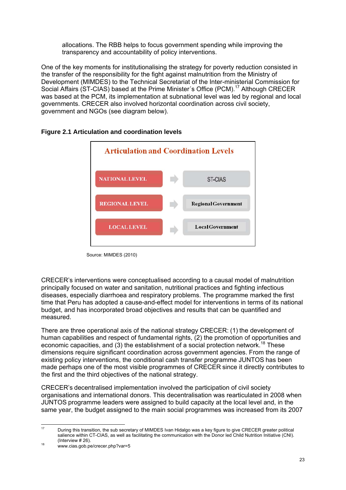allocations. The RBB helps to focus government spending while improving the transparency and accountability of policy interventions.

One of the key moments for institutionalising the strategy for poverty reduction consisted in the transfer of the responsibility for the fight against malnutrition from the Ministry of Development (MIMDES) to the Technical Secretariat of the Inter-ministerial Commission for Social Affairs (ST-CIAS) based at the Prime Minister's Office (PCM).<sup>17</sup> Although CRECER was based at the PCM, its implementation at subnational level was led by regional and local governments. CRECER also involved horizontal coordination across civil society, government and NGOs (see diagram below).



#### **Figure 2.1 Articulation and coordination levels**

CRECER's interventions were conceptualised according to a causal model of malnutrition principally focused on water and sanitation, nutritional practices and fighting infectious diseases, especially diarrhoea and respiratory problems. The programme marked the first time that Peru has adopted a cause-and-effect model for interventions in terms of its national budget, and has incorporated broad objectives and results that can be quantified and measured.

There are three operational axis of the national strategy CRECER: (1) the development of human capabilities and respect of fundamental rights, (2) the promotion of opportunities and economic capacities, and (3) the establishment of a social protection network.<sup>18</sup> These dimensions require significant coordination across government agencies. From the range of existing policy interventions, the conditional cash transfer programme JUNTOS has been made perhaps one of the most visible programmes of CRECER since it directly contributes to the first and the third objectives of the national strategy.

CRECER's decentralised implementation involved the participation of civil society organisations and international donors. This decentralisation was rearticulated in 2008 when JUNTOS programme leaders were assigned to build capacity at the local level and, in the same year, the budget assigned to the main social programmes was increased from its 2007

Source: MIMDES (2010)

 $17$ 17 During this transition, the sub secretary of MIMDES Ivan Hidalgo was a key figure to give CRECER greater political salience within CT-CIAS, as well as facilitating the communication with the Donor led Child Nutrition Initiative (CNI). (Interview  $# 26$ ).<br>www.cias.gob.pe/crecer.php?var=5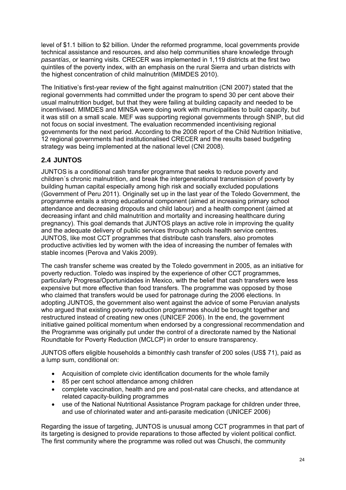level of \$1.1 billion to \$2 billion. Under the reformed programme, local governments provide technical assistance and resources, and also help communities share knowledge through *pasantías*, or learning visits. CRECER was implemented in 1,119 districts at the first two quintiles of the poverty index, with an emphasis on the rural Sierra and urban districts with the highest concentration of child malnutrition (MIMDES 2010).

The Initiative's first-year review of the fight against malnutrition (CNI 2007) stated that the regional governments had committed under the program to spend 30 per cent above their usual malnutrition budget, but that they were failing at building capacity and needed to be incentivised. MIMDES and MINSA were doing work with municipalities to build capacity, but it was still on a small scale. MEF was supporting regional governments through SNIP, but did not focus on social investment. The evaluation recommended incentivising regional governments for the next period. According to the 2008 report of the Child Nutrition Initiative, 12 regional governments had institutionalised CRECER and the results based budgeting strategy was being implemented at the national level (CNI 2008).

## **2.4 JUNTOS**

JUNTOS is a conditional cash transfer programme that seeks to reduce poverty and children´s chronic malnutrition, and break the intergenerational transmission of poverty by building human capital especially among high risk and socially excluded populations (Government of Peru 2011). Originally set up in the last year of the Toledo Government, the programme entails a strong educational component (aimed at increasing primary school attendance and decreasing dropouts and child labour) and a health component (aimed at decreasing infant and child malnutrition and mortality and increasing healthcare during pregnancy). This goal demands that JUNTOS plays an active role in improving the quality and the adequate delivery of public services through schools health service centres. JUNTOS, like most CCT programmes that distribute cash transfers, also promotes productive activities led by women with the idea of increasing the number of females with stable incomes (Perova and Vakis 2009).

The cash transfer scheme was created by the Toledo government in 2005, as an initiative for poverty reduction. Toledo was inspired by the experience of other CCT programmes, particularly Progresa/Oportunidades in Mexico, with the belief that cash transfers were less expensive but more effective than food transfers. The programme was opposed by those who claimed that transfers would be used for patronage during the 2006 elections. In adopting JUNTOS, the government also went against the advice of some Peruvian analysts who argued that existing poverty reduction programmes should be brought together and restructured instead of creating new ones (UNICEF 2006). In the end, the government initiative gained political momentum when endorsed by a congressional recommendation and the Programme was originally put under the control of a directorate named by the National Roundtable for Poverty Reduction (MCLCP) in order to ensure transparency.

JUNTOS offers eligible households a bimonthly cash transfer of 200 soles (US\$ 71), paid as a lump sum, conditional on:

- Acquisition of complete civic identification documents for the whole family
- 85 per cent school attendance among children
- complete vaccination, health and pre and post-natal care checks, and attendance at related capacity-building programmes
- use of the National Nutritional Assistance Program package for children under three, and use of chlorinated water and anti-parasite medication (UNICEF 2006)

Regarding the issue of targeting, JUNTOS is unusual among CCT programmes in that part of its targeting is designed to provide reparations to those affected by violent political conflict. The first community where the programme was rolled out was Chuschi, the community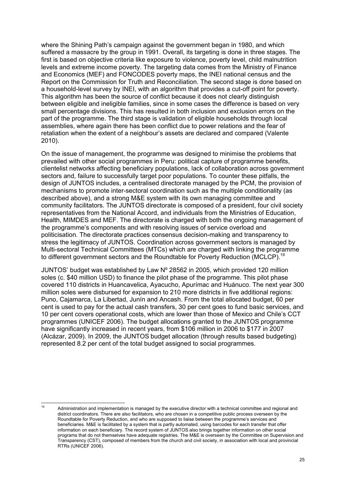where the Shining Path's campaign against the government began in 1980, and which suffered a massacre by the group in 1991. Overall, its targeting is done in three stages. The first is based on objective criteria like exposure to violence, poverty level, child malnutrition levels and extreme income poverty. The targeting data comes from the Ministry of Finance and Economics (MEF) and FONCODES poverty maps, the INEI national census and the Report on the Commission for Truth and Reconciliation. The second stage is done based on a household-level survey by INEI, with an algorithm that provides a cut-off point for poverty. This algorithm has been the source of conflict because it does not clearly distinguish between eligible and ineligible families, since in some cases the difference is based on very small percentage divisions. This has resulted in both inclusion and exclusion errors on the part of the programme. The third stage is validation of eligible households through local assemblies, where again there has been conflict due to power relations and the fear of retaliation when the extent of a neighbour's assets are declared and compared (Valente 2010).

On the issue of management, the programme was designed to minimise the problems that prevailed with other social programmes in Peru: political capture of programme benefits, clientelist networks affecting beneficiary populations, lack of collaboration across government sectors and, failure to successfully target poor populations. To counter these pitfalls, the design of JUNTOS includes, a centralised directorate managed by the PCM, the provision of mechanisms to promote inter-sectoral coordination such as the multiple conditionality (as described above), and a strong M&E system with its own managing committee and community facilitators. The JUNTOS directorate is composed of a president, four civil society representatives from the National Accord, and individuals from the Ministries of Education, Health, MIMDES and MEF. The directorate is charged with both the ongoing management of the programme's components and with resolving issues of service overload and politicisation. The directorate practices consensus decision-making and transparency to stress the legitimacy of JUNTOS. Coordination across government sectors is managed by Multi-sectoral Technical Committees (MTCs) which are charged with linking the programme to different government sectors and the Roundtable for Poverty Reduction (MCLCP).<sup>19</sup>

JUNTOS' budget was established by Law Nº 28562 in 2005, which provided 120 million soles (c. \$40 million USD) to finance the pilot phase of the programme. This pilot phase covered 110 districts in Huancavelica, Ayacucho, Apurímac and Huánuco. The next year 300 million soles were disbursed for expansion to 210 more districts in five additional regions: Puno, Cajamarca, La Libertad, Junín and Ancash. From the total allocated budget, 60 per cent is used to pay for the actual cash transfers, 30 per cent goes to fund basic services, and 10 per cent covers operational costs, which are lower than those of Mexico and Chile's CCT programmes (UNICEF 2006). The budget allocations granted to the JUNTOS programme have significantly increased in recent years, from \$106 million in 2006 to \$177 in 2007 (Alcázar, 2009). In 2009, the JUNTOS budget allocation (through results based budgeting) represented 8.2 per cent of the total budget assigned to social programmes.

<sup>19</sup> 

Administration and implementation is managed by the executive director with a technical committee and regional and district coordinators. There are also facilitators, who are chosen in a competitive public process overseen by the Roundtable for Poverty Reduction, and who are supposed to liaise between the programme's services and beneficiaries. M&E is facilitated by a system that is partly automated, using barcodes for each transfer that offer information on each beneficiary. The record system of JUNTOS also brings together information on other social programs that do not themselves have adequate registries. The M&E is overseen by the Committee on Supervision and Transparency (CST), composed of members from the church and civil society, in association with local and provincial RTRs (UNICEF 2006).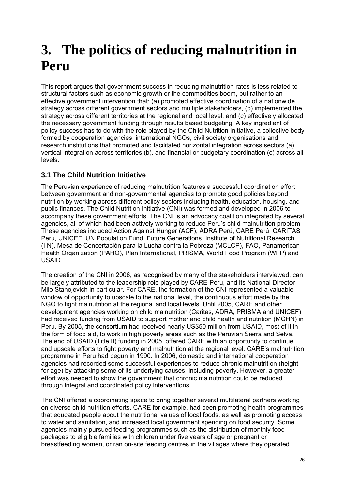## **3. The politics of reducing malnutrition in Peru**

This report argues that government success in reducing malnutrition rates is less related to structural factors such as economic growth or the commodities boom, but rather to an effective government intervention that: (a) promoted effective coordination of a nationwide strategy across different government sectors and multiple stakeholders, (b) implemented the strategy across different territories at the regional and local level, and (c) effectively allocated the necessary government funding through results based budgeting. A key ingredient of policy success has to do with the role played by the Child Nutrition Initiative, a collective body formed by cooperation agencies, international NGOs, civil society organisations and research institutions that promoted and facilitated horizontal integration across sectors (a), vertical integration across territories (b), and financial or budgetary coordination (c) across all levels.

## **3.1 The Child Nutrition Initiative**

The Peruvian experience of reducing malnutrition features a successful coordination effort between government and non-governmental agencies to promote good policies beyond nutrition by working across different policy sectors including health, education, housing, and public finances. The Child Nutrition Initiative (CNI) was formed and developed in 2006 to accompany these government efforts. The CNI is an advocacy coalition integrated by several agencies, all of which had been actively working to reduce Peru's child malnutrition problem. These agencies included Action Against Hunger (ACF), ADRA Perú, CARE Perú, CARITAS Perú, UNICEF, UN Population Fund, Future Generations, Institute of Nutritional Research (IIN), Mesa de Concertación para la Lucha contra la Pobreza (MCLCP), FAO, Panamerican Health Organization (PAHO), Plan International, PRISMA, World Food Program (WFP) and USAID.

The creation of the CNI in 2006, as recognised by many of the stakeholders interviewed, can be largely attributed to the leadership role played by CARE-Peru, and its National Director Milo Stanojevich in particular. For CARE, the formation of the CNI represented a valuable window of opportunity to upscale to the national level, the continuous effort made by the NGO to fight malnutrition at the regional and local levels. Until 2005, CARE and other development agencies working on child malnutrition (Caritas, ADRA, PRISMA and UNICEF) had received funding from USAID to support mother and child health and nutrition (MCHN) in Peru. By 2005, the consortium had received nearly US\$50 million from USAID, most of it in the form of food aid, to work in high poverty areas such as the Peruvian Sierra and Selva. The end of USAID (Title II) funding in 2005, offered CARE with an opportunity to continue and upscale efforts to fight poverty and malnutrition at the regional level. CARE's malnutrition programme in Peru had begun in 1990. In 2006, domestic and international cooperation agencies had recorded some successful experiences to reduce chronic malnutrition (height for age) by attacking some of its underlying causes, including poverty. However, a greater effort was needed to show the government that chronic malnutrition could be reduced through integral and coordinated policy interventions.

The CNI offered a coordinating space to bring together several multilateral partners working on diverse child nutrition efforts. CARE for example, had been promoting health programmes that educated people about the nutritional values of local foods, as well as promoting access to water and sanitation, and increased local government spending on food security. Some agencies mainly pursued feeding programmes such as the distribution of monthly food packages to eligible families with children under five years of age or pregnant or breastfeeding women, or ran on-site feeding centres in the villages where they operated.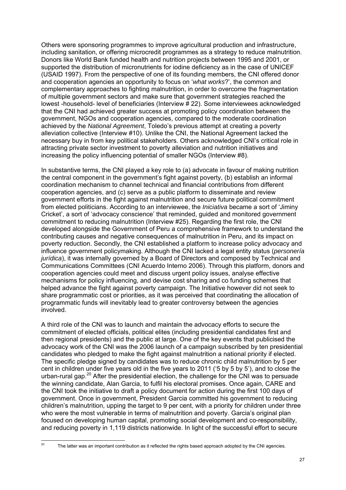Others were sponsoring programmes to improve agricultural production and infrastructure, including sanitation, or offering microcredit programmes as a strategy to reduce malnutrition. Donors like World Bank funded health and nutrition projects between 1995 and 2001, or supported the distribution of micronutrients for iodine deficiency as in the case of UNICEF (USAID 1997). From the perspective of one of its founding members, the CNI offered donor and cooperation agencies an opportunity to focus on '*what works*?', the common and complementary approaches to fighting malnutrition, in order to overcome the fragmentation of multiple government sectors and make sure that government strategies reached the lowest -household- level of beneficiaries (Interview # 22). Some interviewees acknowledged that the CNI had achieved greater success at promoting policy coordination between the government, NGOs and cooperation agencies, compared to the moderate coordination achieved by the *National Agreement*, Toledo's previous attempt at creating a poverty alleviation collective (Interview #10). Unlike the CNI, the National Agreement lacked the necessary buy in from key political stakeholders. Others acknowledged CNI's critical role in attracting private sector investment to poverty alleviation and nutrition initiatives and increasing the policy influencing potential of smaller NGOs (Interview #8).

In substantive terms, the CNI played a key role to (a) advocate in favour of making nutrition the central component in the government's fight against poverty, (b) establish an informal coordination mechanism to channel technical and financial contributions from different cooperation agencies, and (c) serve as a public platform to disseminate and review government efforts in the fight against malnutrition and secure future political commitment from elected politicians. According to an interviewee, the *Iniciativa* became a sort of 'Jiminy Cricket', a sort of 'advocacy conscience' that reminded, guided and monitored government commitment to reducing malnutrition (Interview #25). Regarding the first role, the CNI developed alongside the Government of Peru a comprehensive framework to understand the contributing causes and negative consequences of malnutrition in Peru, and its impact on poverty reduction. Secondly, the CNI established a platform to increase policy advocacy and influence government policymaking. Although the CNI lacked a legal entity status (*personería jurídica*), it was internally governed by a Board of Directors and composed by Technical and Communications Committees (CNI Acuerdo Interno 2006). Through this platform, donors and cooperation agencies could meet and discuss urgent policy issues, analyse effective mechanisms for policy influencing, and devise cost sharing and co funding schemes that helped advance the fight against poverty campaign. The Initiative however did not seek to share programmatic cost or priorities, as it was perceived that coordinating the allocation of programmatic funds will inevitably lead to greater controversy between the agencies involved.

A third role of the CNI was to launch and maintain the advocacy efforts to secure the commitment of elected officials, political elites (including presidential candidates first and then regional presidents) and the public at large. One of the key events that publicised the advocacy work of the CNI was the 2006 launch of a campaign subscribed by ten presidential candidates who pledged to make the fight against malnutrition a national priority if elected. The specific pledge signed by candidates was to reduce chronic child malnutrition by 5 per cent in children under five years old in the five years to 2011 ('5 by 5 by 5'), and to close the urban-rural gap.<sup>20</sup> After the presidential election, the challenge for the CNI was to persuade the winning candidate, Alan Garcia, to fulfil his electoral promises. Once again, CARE and the CNI took the initiative to draft a policy document for action during the first 100 days of government. Once in government, President Garcia committed his government to reducing children's malnutrition, upping the target to 9 per cent, with a priority for children under three who were the most vulnerable in terms of malnutrition and poverty. Garcia's original plan focused on developing human capital, promoting social development and co-responsibility, and reducing poverty in 1,119 districts nationwide. In light of the successful effort to secure

 $20$ The latter was an important contribution as it reflected the rights based approach adopted by the CNI agencies.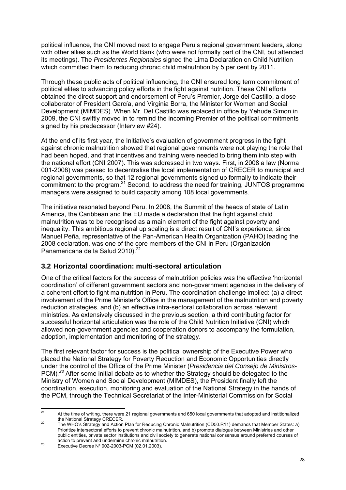political influence, the CNI moved next to engage Peru's regional government leaders, along with other allies such as the World Bank (who were not formally part of the CNI, but attended its meetings). The *Presidentes Regionales* signed the Lima Declaration on Child Nutrition which committed them to reducing chronic child malnutrition by 5 per cent by 2011.

Through these public acts of political influencing, the CNI ensured long term commitment of political elites to advancing policy efforts in the fight against nutrition. These CNI efforts obtained the direct support and endorsement of Peru's Premier, Jorge del Castillo, a close collaborator of President García, and Virginia Borra, the Minister for Women and Social Development (MIMDES). When Mr. Del Castillo was replaced in office by Yehude Simon in 2009, the CNI swiftly moved in to remind the incoming Premier of the political commitments signed by his predecessor (Interview #24).

At the end of its first year, the Initiative's evaluation of government progress in the fight against chronic malnutrition showed that regional governments were not playing the role that had been hoped, and that incentives and training were needed to bring them into step with the national effort (CNI 2007). This was addressed in two ways. First, in 2008 a law (Norma 001-2008) was passed to decentralise the local implementation of CRECER to municipal and regional governments, so that 12 regional governments signed up formally to indicate their commitment to the program.<sup>21</sup> Second, to address the need for training, JUNTOS programme managers were assigned to build capacity among 108 local governments.

The initiative resonated beyond Peru. In 2008, the Summit of the heads of state of Latin America, the Caribbean and the EU made a declaration that the fight against child malnutrition was to be recognised as a main element of the fight against poverty and inequality. This ambitious regional up scaling is a direct result of CNI's experience, since Manuel Peña, representative of the Pan-American Health Organization (PAHO) leading the 2008 declaration, was one of the core members of the CNI in Peru (Organización Panamericana de la Salud 2010).<sup>22</sup>

### **3.2 Horizontal coordination: multi-sectoral articulation**

One of the critical factors for the success of malnutrition policies was the effective 'horizontal coordination' of different government sectors and non-government agencies in the delivery of a coherent effort to fight malnutrition in Peru. The coordination challenge implied: (a) a direct involvement of the Prime Minister's Office in the management of the malnutrition and poverty reduction strategies, and (b) an effective intra-sectoral collaboration across relevant ministries. As extensively discussed in the previous section, a third contributing factor for successful horizontal articulation was the role of the Child Nutrition Initiative (CNI) which allowed non-government agencies and cooperation donors to accompany the formulation, adoption, implementation and monitoring of the strategy.

The first relevant factor for success is the political ownership of the Executive Power who placed the National Strategy for Poverty Reduction and Economic Opportunities directly under the control of the Office of the Prime Minister (*Presidencia del Consejo de Ministros*-PCM)*. <sup>23</sup>* After some initial debate as to whether the Strategy should be delegated to the Ministry of Women and Social Development (MIMDES), the President finally left the coordination, execution, monitoring and evaluation of the National Strategy in the hands of the PCM, through the Technical Secretariat of the Inter-Ministerial Commission for Social

 $21$ 21 At the time of writing, there were 21 regional governments and 650 local governments that adopted and institionalized

the National Strategy CRECER.<br><sup>22</sup> The WHO's Strategy and Action Plan for Reducing Chronic Malnutrition (CD50.R11) demands that Member States: a) Prioritize intersectoral efforts to prevent chronic malnutrition, and b) promote dialogue between Ministries and other public entities, private sector institutions and civil society to generate national consensus around preferred courses of

action to prevent and undermine chronic malnutrition.<br><sup>23</sup> Executive Decree Nº 002-2003-PCM (02.01.2003).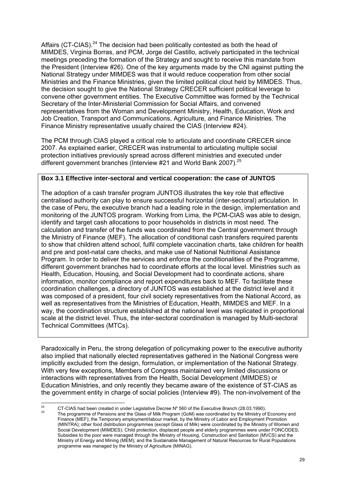Affairs (CT-CIAS). $^{24}$  The decision had been politically contested as both the head of MIMDES, Virginia Borras, and PCM, Jorge del Castillo, actively participated in the technical meetings preceding the formation of the Strategy and sought to receive this mandate from the President (Interview #26). One of the key arguments made by the CNI against putting the National Strategy under MIMDES was that it would reduce cooperation from other social Ministries and the Finance Ministries, given the limited political clout held by MIMDES. Thus, the decision sought to give the National Strategy CRECER sufficient political leverage to convene other government entities. The Executive Committee was formed by the Technical Secretary of the Inter-Ministerial Commission for Social Affairs, and convened representatives from the Woman and Development Ministry, Health, Education, Work and Job Creation, Transport and Communications, Agriculture, and Finance Ministries. The Finance Ministry representative usually chaired the CIAS (Interview #24).

The PCM through CIAS played a critical role to articulate and coordinate CRECER since 2007. As explained earlier, CRECER was instrumental to articulating multiple social protection initiatives previously spread across different ministries and executed under different government branches (Interview #21 and World Bank 2007).<sup>25</sup>

#### **Box 3.1 Effective inter-sectoral and vertical cooperation: the case of JUNTOS**

The adoption of a cash transfer program JUNTOS illustrates the key role that effective centralised authority can play to ensure successful horizontal (inter-sectoral) articulation. In the case of Peru, the executive branch had a leading role in the design, implementation and monitoring of the JUNTOS program. Working from Lima, the PCM-CIAS was able to design, identify and target cash allocations to poor households in districts in most need. The calculation and transfer of the funds was coordinated from the Central government through the Ministry of Finance (MEF). The allocation of conditional cash transfers required parents to show that children attend school, fulfil complete vaccination charts, take children for health and pre and post-natal care checks, and make use of National Nutritional Assistance Program. In order to deliver the services and enforce the conditionalities of the Programme, different government branches had to coordinate efforts at the local level. Ministries such as Health, Education, Housing, and Social Development had to coordinate actions, share information, monitor compliance and report expenditures back to MEF. To facilitate these coordination challenges, a directory of JUNTOS was established at the district level and it was composed of a president, four civil society representatives from the National Accord, as well as representatives from the Ministries of Education, Health, MIMDES and MEF. In a way, the coordination structure established at the national level was replicated in proportional scale at the district level. Thus, the inter-sectoral coordination is managed by Multi-sectoral Technical Committees (MTCs).

Paradoxically in Peru, the strong delegation of policymaking power to the executive authority also implied that nationally elected representatives gathered in the National Congress were implicitly excluded from the design, formulation, or implementation of the National Strategy. With very few exceptions, Members of Congress maintained very limited discussions or interactions with representatives from the Health, Social Development (MIMDES) or Education Ministries, and only recently they became aware of the existence of ST-CIAS as the government entity in charge of social policies (Interview #9). The non-involvement of the

 $\overline{24}$ <sup>24</sup> CT-CIAS had been created in under Legislative Decree N° 560 of the Executive Branch (28.03.1990).<br><sup>25</sup> The programme of Pensions and the Glass of Milk Program (GoM) was coordinated by the Ministry of Economy and Finance (MEF); the Temporary employment/labour market, by the Ministry of Labor and Employment Promotion (MINTRA); other food distribution programmes (except Glass of Milk) were coordinated by the Ministry of Women and Social Development (MIMDES); Child protection, displaced people and elderly programmes were under FONCODES; Subsidies to the poor were managed through the Ministry of Housing, Construction and Sanitation (MVCS) and the Ministry of Energy and Mining (MEM); and the Sustainable Management of Natural Resources for Rural Populations programme was managed by the Ministry of Agriculture (MINAG).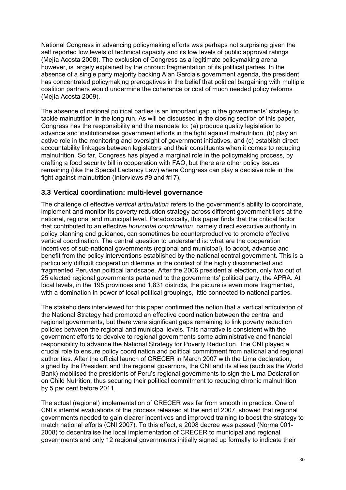National Congress in advancing policymaking efforts was perhaps not surprising given the self reported low levels of technical capacity and its low levels of public approval ratings (Mejía Acosta 2008). The exclusion of Congress as a legitimate policymaking arena however, is largely explained by the chronic fragmentation of its political parties. In the absence of a single party majority backing Alan Garcia's government agenda, the president has concentrated policymaking prerogatives in the belief that political bargaining with multiple coalition partners would undermine the coherence or cost of much needed policy reforms (Mejía Acosta 2009).

The absence of national political parties is an important gap in the governments' strategy to tackle malnutrition in the long run. As will be discussed in the closing section of this paper, Congress has the responsibility and the mandate to: (a) produce quality legislation to advance and institutionalise government efforts in the fight against malnutrition, (b) play an active role in the monitoring and oversight of government initiatives, and (c) establish direct accountability linkages between legislators and their constituents when it comes to reducing malnutrition. So far, Congress has played a marginal role in the policymaking process, by drafting a food security bill in cooperation with FAO, but there are other policy issues remaining (like the Special Lactancy Law) where Congress can play a decisive role in the fight against malnutrition (Interviews #9 and #17).

#### **3.3 Vertical coordination: multi-level governance**

The challenge of effective *vertical articulation* refers to the government's ability to coordinate, implement and monitor its poverty reduction strategy across different government tiers at the national, regional and municipal level. Paradoxically, this paper finds that the critical factor that contributed to an effective *horizontal coordination*, namely direct executive authority in policy planning and guidance, can sometimes be counterproductive to promote effective vertical coordination. The central question to understand is: what are the cooperation incentives of sub-national governments (regional and municipal), to adopt, advance and benefit from the policy interventions established by the national central government. This is a particularly difficult cooperation dilemma in the context of the highly disconnected and fragmented Peruvian political landscape. After the 2006 presidential election, only two out of 25 elected regional governments pertained to the governments' political party, the APRA. At local levels, in the 195 provinces and 1,831 districts, the picture is even more fragmented, with a domination in power of local political groupings, little connected to national parties.

The stakeholders interviewed for this paper confirmed the notion that a vertical articulation of the National Strategy had promoted an effective coordination between the central and regional governments, but there were significant gaps remaining to link poverty reduction policies between the regional and municipal levels. This narrative is consistent with the government efforts to devolve to regional governments some administrative and financial responsibility to advance the National Strategy for Poverty Reduction. The CNI played a crucial role to ensure policy coordination and political commitment from national and regional authorities. After the official launch of CRECER in March 2007 with the Lima declaration, signed by the President and the regional governors, the CNI and its allies (such as the World Bank) mobilised the presidents of Peru's regional governments to sign the Lima Declaration on Child Nutrition, thus securing their political commitment to reducing chronic malnutrition by 5 per cent before 2011.

The actual (regional) implementation of CRECER was far from smooth in practice. One of CNI's internal evaluations of the process released at the end of 2007, showed that regional governments needed to gain clearer incentives and improved training to boost the strategy to match national efforts (CNI 2007). To this effect, a 2008 decree was passed (Norma 001- 2008) to decentralise the local implementation of CRECER to municipal and regional governments and only 12 regional governments initially signed up formally to indicate their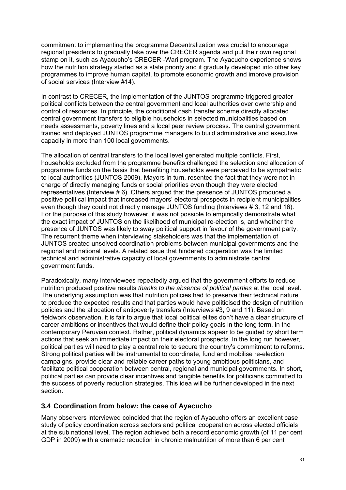commitment to implementing the programme Decentralization was crucial to encourage regional presidents to gradually take over the CRECER agenda and put their own regional stamp on it, such as Ayacucho's CRECER -Wari program. The Ayacucho experience shows how the nutrition strategy started as a state priority and it gradually developed into other key programmes to improve human capital, to promote economic growth and improve provision of social services (Interview #14).

In contrast to CRECER, the implementation of the JUNTOS programme triggered greater political conflicts between the central government and local authorities over ownership and control of resources. In principle, the conditional cash transfer scheme directly allocated central government transfers to eligible households in selected municipalities based on needs assessments, poverty lines and a local peer review process. The central government trained and deployed JUNTOS programme managers to build administrative and executive capacity in more than 100 local governments.

The allocation of central transfers to the local level generated multiple conflicts. First, households excluded from the programme benefits challenged the selection and allocation of programme funds on the basis that benefiting households were perceived to be sympathetic to local authorities (JUNTOS 2009). Mayors in turn, resented the fact that they were not in charge of directly managing funds or social priorities even though they were elected representatives (Interview # 6). Others argued that the presence of JUNTOS produced a positive political impact that increased mayors' electoral prospects in recipient municipalities even though they could not directly manage JUNTOS funding (Interviews # 3, 12 and 16). For the purpose of this study however, it was not possible to empirically demonstrate what the exact impact of JUNTOS on the likelihood of municipal re-election is, and whether the presence of JUNTOS was likely to sway political support in favour of the government party. The recurrent theme when interviewing stakeholders was that the implementation of JUNTOS created unsolved coordination problems between municipal governments and the regional and national levels. A related issue that hindered cooperation was the limited technical and administrative capacity of local governments to administrate central government funds.

Paradoxically, many interviewees repeatedly argued that the government efforts to reduce nutrition produced positive results *thanks to the absence of political parties* at the local level. The underlying assumption was that nutrition policies had to preserve their technical nature to produce the expected results and that parties would have politicised the design of nutrition policies and the allocation of antipoverty transfers (Interviews #3, 9 and 11). Based on fieldwork observation, it is fair to argue that local political elites don't have a clear structure of career ambitions or incentives that would define their policy goals in the long term, in the contemporary Peruvian context. Rather, political dynamics appear to be guided by short term actions that seek an immediate impact on their electoral prospects. In the long run however, political parties will need to play a central role to secure the country's commitment to reforms. Strong political parties will be instrumental to coordinate, fund and mobilise re-election campaigns, provide clear and reliable career paths to young ambitious politicians, and facilitate political cooperation between central, regional and municipal governments. In short, political parties can provide clear incentives and tangible benefits for politicians committed to the success of poverty reduction strategies. This idea will be further developed in the next section.

#### **3.4 Coordination from below: the case of Ayacucho**

Many observers interviewed coincided that the region of Ayacucho offers an excellent case study of policy coordination across sectors and political cooperation across elected officials at the sub national level. The region achieved both a record economic growth (of 11 per cent GDP in 2009) with a dramatic reduction in chronic malnutrition of more than 6 per cent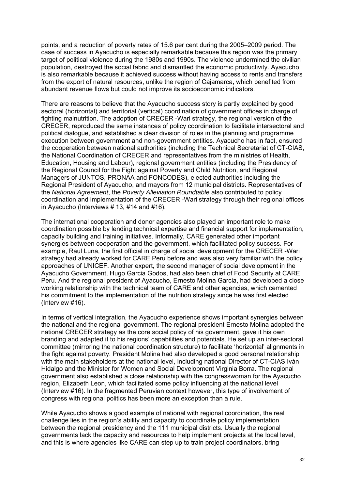points, and a reduction of poverty rates of 15.6 per cent during the 2005–2009 period. The case of success in Ayacucho is especially remarkable because this region was the primary target of political violence during the 1980s and 1990s. The violence undermined the civilian population, destroyed the social fabric and dismantled the economic productivity. Ayacucho is also remarkable because it achieved success without having access to rents and transfers from the export of natural resources, unlike the region of Cajamarca, which benefited from abundant revenue flows but could not improve its socioeconomic indicators.

There are reasons to believe that the Ayacucho success story is partly explained by good sectoral (horizontal) and territorial (vertical) coordination of government offices in charge of fighting malnutrition. The adoption of CRECER -Wari strategy, the regional version of the CRECER, reproduced the same instances of policy coordination to facilitate intersectoral and political dialogue, and established a clear division of roles in the planning and programme execution between government and non-government entities. Ayacucho has in fact, ensured the cooperation between national authorities (including the Technical Secretariat of CT-CIAS, the National Coordination of CRECER and representatives from the ministries of Health, Education, Housing and Labour), regional government entities (including the Presidency of the Regional Council for the Fight against Poverty and Child Nutrition, and Regional Managers of JUNTOS, PRONAA and FONCODES), elected authorities including the Regional President of Ayacucho, and mayors from 12 municipal districts. Representatives of the *National Agreement*, the *Poverty Alleviation Roundtable* also contributed to policy coordination and implementation of the CRECER -Wari strategy through their regional offices in Ayacucho (Interviews # 13, #14 and #16).

The international cooperation and donor agencies also played an important role to make coordination possible by lending technical expertise and financial support for implementation, capacity building and training initiatives. Informally, CARE generated other important synergies between cooperation and the government, which facilitated policy success. For example, Raul Luna, the first official in charge of social development for the CRECER -Wari strategy had already worked for CARE Peru before and was also very familiar with the policy approaches of UNICEF. Another expert, the second manager of social development in the Ayacucho Government, Hugo Garcia Godos, had also been chief of Food Security at CARE Peru. And the regional president of Ayacucho, Ernesto Molina Garcia, had developed a close working relationship with the technical team of CARE and other agencies, which cemented his commitment to the implementation of the nutrition strategy since he was first elected (Interview #16).

In terms of vertical integration, the Ayacucho experience shows important synergies between the national and the regional government. The regional president Ernesto Molina adopted the national CRECER strategy as the core social policy of his government, gave it his own branding and adapted it to his regions' capabilities and potentials. He set up an inter-sectoral committee (mirroring the national coordination structure) to facilitate 'horizontal' alignments in the fight against poverty. President Molina had also developed a good personal relationship with the main stakeholders at the national level, including national Director of CT-CIAS Iván Hidalgo and the Minister for Women and Social Development Virginia Borra. The regional government also established a close relationship with the congresswoman for the Ayacucho region, Elizabeth Leon, which facilitated some policy influencing at the national level (Interview #16). In the fragmented Peruvian context however, this type of involvement of congress with regional politics has been more an exception than a rule.

While Ayacucho shows a good example of national with regional coordination, the real challenge lies in the region's ability and capacity to coordinate policy implementation between the regional presidency and the 111 municipal districts. Usually the regional governments lack the capacity and resources to help implement projects at the local level, and this is where agencies like CARE can step up to train project coordinators, bring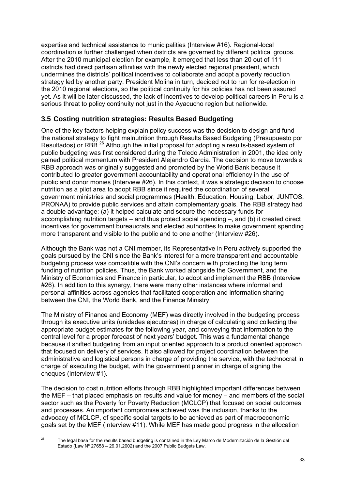expertise and technical assistance to municipalities (Interview #16). Regional-local coordination is further challenged when districts are governed by different political groups. After the 2010 municipal election for example, it emerged that less than 20 out of 111 districts had direct partisan affinities with the newly elected regional president, which undermines the districts' political incentives to collaborate and adopt a poverty reduction strategy led by another party. President Molina in turn, decided not to run for re-election in the 2010 regional elections, so the political continuity for his policies has not been assured yet. As it will be later discussed, the lack of incentives to develop political careers in Peru is a serious threat to policy continuity not just in the Ayacucho region but nationwide.

### **3.5 Costing nutrition strategies: Results Based Budgeting**

One of the key factors helping explain policy success was the decision to design and fund the national strategy to fight malnutrition through Results Based Budgeting (Presupuesto por Resultados) or RBB.<sup>26</sup> Although the initial proposal for adopting a results-based system of public budgeting was first considered during the Toledo Administration in 2001, the idea only gained political momentum with President Alejandro García. The decision to move towards a RBB approach was originally suggested and promoted by the World Bank because it contributed to greater government accountability and operational efficiency in the use of public and donor monies (Interview #26). In this context, it was a strategic decision to choose nutrition as a pilot area to adopt RBB since it required the coordination of several government ministries and social programmes (Health, Education, Housing, Labor, JUNTOS, PRONAA) to provide public services and attain complementary goals. The RBB strategy had a double advantage: (a) it helped calculate and secure the necessary funds for accomplishing nutrition targets – and thus protect social spending –, and (b) it created direct incentives for government bureaucrats and elected authorities to make government spending more transparent and visible to the public and to one another (Interview #26).

Although the Bank was not a CNI member, its Representative in Peru actively supported the goals pursued by the CNI since the Bank's interest for a more transparent and accountable budgeting process was compatible with the CNI's concern with protecting the long term funding of nutrition policies. Thus, the Bank worked alongside the Government, and the Ministry of Economics and Finance in particular, to adopt and implement the RBB (Interview #26). In addition to this synergy, there were many other instances where informal and personal affinities across agencies that facilitated cooperation and information sharing between the CNI, the World Bank, and the Finance Ministry.

The Ministry of Finance and Economy (MEF) was directly involved in the budgeting process through its executive units (unidades ejecutoras) in charge of calculating and collecting the appropriate budget estimates for the following year, and conveying that information to the central level for a proper forecast of next years' budget. This was a fundamental change because it shifted budgeting from an input oriented approach to a product oriented approach that focused on delivery of services. It also allowed for project coordination between the administrative and logistical persons in charge of providing the service, with the technocrat in charge of executing the budget, with the government planner in charge of signing the cheques (Interview #1).

The decision to cost nutrition efforts through RBB highlighted important differences between the MEF – that placed emphasis on results and value for money – and members of the social sector such as the Poverty for Poverty Reduction (MCLCP) that focused on social outcomes and processes. An important compromise achieved was the inclusion, thanks to the advocacy of MCLCP, of specific social targets to be achieved as part of macroeconomic goals set by the MEF (Interview #11). While MEF has made good progress in the allocation

 $26$ The legal base for the results based budgeting is contained in the Ley Marco de Modernización de la Gestión del Estado (Law  $N^{\circ}$  27658 – 29.01.2002) and the 2007 Public Budgets Law.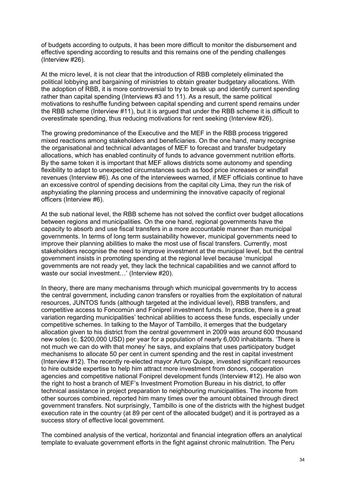of budgets according to outputs, it has been more difficult to monitor the disbursement and effective spending according to results and this remains one of the pending challenges (Interview #26).

At the micro level, it is not clear that the introduction of RBB completely eliminated the political lobbying and bargaining of ministries to obtain greater budgetary allocations. With the adoption of RBB, it is more controversial to try to break up and identify current spending rather than capital spending (Interviews #3 and 11). As a result, the same political motivations to reshuffle funding between capital spending and current spend remains under the RBB scheme (Interview #11), but it is argued that under the RBB scheme it is difficult to overestimate spending, thus reducing motivations for rent seeking (Interview #26).

The growing predominance of the Executive and the MEF in the RBB process triggered mixed reactions among stakeholders and beneficiaries. On the one hand, many recognise the organisational and technical advantages of MEF to forecast and transfer budgetary allocations, which has enabled continuity of funds to advance government nutrition efforts. By the same token it is important that MEF allows districts some autonomy and spending flexibility to adapt to unexpected circumstances such as food price increases or windfall revenues (Interview #6). As one of the interviewees warned, if MEF officials continue to have an excessive control of spending decisions from the capital city Lima, they run the risk of asphyxiating the planning process and undermining the innovative capacity of regional officers (Interview #6).

At the sub national level, the RBB scheme has not solved the conflict over budget allocations between regions and municipalities. On the one hand, regional governments have the capacity to absorb and use fiscal transfers in a more accountable manner than municipal governments. In terms of long term sustainability however, municipal governments need to improve their planning abilities to make the most use of fiscal transfers. Currently, most stakeholders recognise the need to improve investment at the municipal level, but the central government insists in promoting spending at the regional level because 'municipal governments are not ready yet, they lack the technical capabilities and we cannot afford to waste our social investment...' (Interview #20).

In theory, there are many mechanisms through which municipal governments try to access the central government, including *canon* transfers or royalties from the exploitation of natural resources, JUNTOS funds (although targeted at the individual level), RBB transfers, and competitive access to Foncomún and Foniprel investment funds. In practice, there is a great variation regarding municipalities' technical abilities to access these funds, especially under competitive schemes. In talking to the Mayor of Tambillo, it emerges that the budgetary allocation given to his district from the central government in 2009 was around 600 thousand new soles (c. \$200,000 USD) per year for a population of nearly 6,000 inhabitants. 'There is not much we can do with that money' he says, and explains that uses participatory budget mechanisms to allocate 50 per cent in current spending and the rest in capital investment (Interview #12). The recently re-elected mayor Arturo Quispe, invested significant resources to hire outside expertise to help him attract more investment from donors, cooperation agencies and competitive national Foniprel development funds (Interview #12). He also won the right to host a branch of MEF's Investment Promotion Bureau in his district, to offer technical assistance in project preparation to neighbouring municipalities. The income from other sources combined, reported him many times over the amount obtained through direct government transfers. Not surprisingly, Tambillo is one of the districts with the highest budget execution rate in the country (at 89 per cent of the allocated budget) and it is portrayed as a success story of effective local government.

The combined analysis of the vertical, horizontal and financial integration offers an analytical template to evaluate government efforts in the fight against chronic malnutrition. The Peru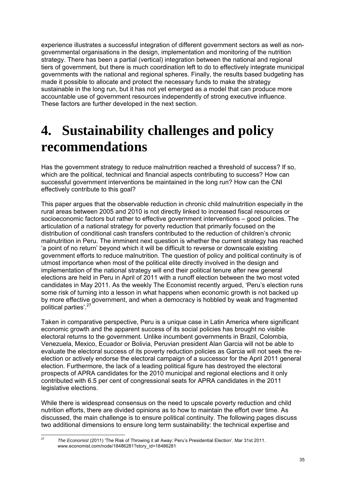experience illustrates a successful integration of different government sectors as well as nongovernmental organisations in the design, implementation and monitoring of the nutrition strategy. There has been a partial (vertical) integration between the national and regional tiers of government, but there is much coordination left to do to effectively integrate municipal governments with the national and regional spheres. Finally, the results based budgeting has made it possible to allocate and protect the necessary funds to make the strategy sustainable in the long run, but it has not yet emerged as a model that can produce more accountable use of government resources independently of strong executive influence. These factors are further developed in the next section.

## **4. Sustainability challenges and policy recommendations**

Has the government strategy to reduce malnutrition reached a threshold of success? If so, which are the political, technical and financial aspects contributing to success? How can successful government interventions be maintained in the long run? How can the CNI effectively contribute to this goal?

This paper argues that the observable reduction in chronic child malnutrition especially in the rural areas between 2005 and 2010 is not directly linked to increased fiscal resources or socioeconomic factors but rather to effective government interventions – good policies. The articulation of a national strategy for poverty reduction that primarily focused on the distribution of conditional cash transfers contributed to the reduction of children's chronic malnutrition in Peru. The imminent next question is whether the current strategy has reached 'a point of no return' beyond which it will be difficult to reverse or downscale existing government efforts to reduce malnutrition. The question of policy and political continuity is of utmost importance when most of the political elite directly involved in the design and implementation of the national strategy will end their political tenure after new general elections are held in Peru in April of 2011 with a runoff election between the two most voted candidates in May 2011. As the weekly The Economist recently argued, 'Peru's election runs some risk of turning into a lesson in what happens when economic growth is not backed up by more effective government, and when a democracy is hobbled by weak and fragmented political parties'.27

Taken in comparative perspective, Peru is a unique case in Latin America where significant economic growth and the apparent success of its social policies has brought no visible electoral returns to the government. Unlike incumbent governments in Brazil, Colombia, Venezuela, Mexico, Ecuador or Bolivia, Peruvian president Alan Garcia will not be able to evaluate the electoral success of its poverty reduction policies as Garcia will not seek the reelection or actively endorse the electoral campaign of a successor for the April 2011 general election. Furthermore, the lack of a leading political figure has destroyed the electoral prospects of APRA candidates for the 2010 municipal and regional elections and it only contributed with 6.5 per cent of congressional seats for APRA candidates in the 2011 legislative elections.

While there is widespread consensus on the need to upscale poverty reduction and child nutrition efforts, there are divided opinions as to how to maintain the effort over time. As discussed, the main challenge is to ensure political continuity. The following pages discuss two additional dimensions to ensure long term sustainability: the technical expertise and

 $\overline{2}$ 27 *The Economist* (2011) 'The Risk of Throwing it all Away: Peru's Presidential Election'. Mar 31st 2011. www.economist.com/node/18486281?story\_id=18486281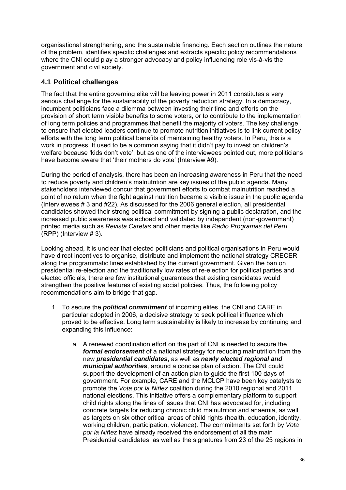organisational strengthening, and the sustainable financing. Each section outlines the nature of the problem, identifies specific challenges and extracts specific policy recommendations where the CNI could play a stronger advocacy and policy influencing role vis-à-vis the government and civil society.

### **4.1 Political challenges**

The fact that the entire governing elite will be leaving power in 2011 constitutes a very serious challenge for the sustainability of the poverty reduction strategy. In a democracy, incumbent politicians face a dilemma between investing their time and efforts on the provision of short term visible benefits to some voters, or to contribute to the implementation of long term policies and programmes that benefit the majority of voters. The key challenge to ensure that elected leaders continue to promote nutrition initiatives is to link current policy efforts with the long term political benefits of maintaining healthy voters. In Peru, this is a work in progress. It used to be a common saying that it didn't pay to invest on children's welfare because 'kids don't vote', but as one of the interviewees pointed out, more politicians have become aware that 'their mothers do vote' (Interview #9).

During the period of analysis, there has been an increasing awareness in Peru that the need to reduce poverty and children's malnutrition are key issues of the public agenda. Many stakeholders interviewed concur that government efforts to combat malnutrition reached a point of no return when the fight against nutrition became a visible issue in the public agenda (Interviewees # 3 and #22). As discussed for the 2006 general election, all presidential candidates showed their strong political commitment by signing a public declaration, and the increased public awareness was echoed and validated by independent (non-government) printed media such as *Revista Caretas* and other media like *Radio Programas del Peru* (RPP) (Interview # 3).

Looking ahead, it is unclear that elected politicians and political organisations in Peru would have direct incentives to organise, distribute and implement the national strategy CRECER along the programmatic lines established by the current government. Given the ban on presidential re-election and the traditionally low rates of re-election for political parties and elected officials, there are few institutional guarantees that existing candidates would strengthen the positive features of existing social policies. Thus, the following policy recommendations aim to bridge that gap.

- 1. To secure the *political commitment* of incoming elites, the CNI and CARE in particular adopted in 2006, a decisive strategy to seek political influence which proved to be effective. Long term sustainability is likely to increase by continuing and expanding this influence:
	- a. A renewed coordination effort on the part of CNI is needed to secure the *formal endorsement* of a national strategy for reducing malnutrition from the new *presidential candidates*, as well as *newly elected regional and municipal authorities*, around a concise plan of action. The CNI could support the development of an action plan to guide the first 100 days of government. For example, CARE and the MCLCP have been key catalysts to promote the *Vota por la Niñez* coalition during the 2010 regional and 2011 national elections. This initiative offers a complementary platform to support child rights along the lines of issues that CNI has advocated for, including concrete targets for reducing chronic child malnutrition and anaemia, as well as targets on six other critical areas of child rights (health, education, identity, working children, participation, violence). The commitments set forth by *Vota por la Niñez* have already received the endorsement of all the main Presidential candidates, as well as the signatures from 23 of the 25 regions in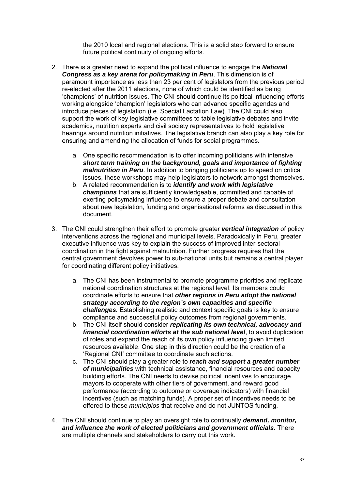the 2010 local and regional elections. This is a solid step forward to ensure future political continuity of ongoing efforts.

- 2. There is a greater need to expand the political influence to engage the *National Congress as a key arena for policymaking in Peru*. This dimension is of paramount importance as less than 23 per cent of legislators from the previous period re-elected after the 2011 elections, none of which could be identified as being 'champions' of nutrition issues. The CNI should continue its political influencing efforts working alongside 'champion' legislators who can advance specific agendas and introduce pieces of legislation (i.e. Special Lactation Law). The CNI could also support the work of key legislative committees to table legislative debates and invite academics, nutrition experts and civil society representatives to hold legislative hearings around nutrition initiatives. The legislative branch can also play a key role for ensuring and amending the allocation of funds for social programmes.
	- a. One specific recommendation is to offer incoming politicians with intensive *short term training on the background, goals and importance of fighting malnutrition in Peru*. In addition to bringing politicians up to speed on critical issues, these workshops may help legislators to network amongst themselves.
	- b. A related recommendation is to *identify and work with legislative champions* that are sufficiently knowledgeable, committed and capable of exerting policymaking influence to ensure a proper debate and consultation about new legislation, funding and organisational reforms as discussed in this document.
- 3. The CNI could strengthen their effort to promote greater *vertical integration* of policy interventions across the regional and municipal levels. Paradoxically in Peru, greater executive influence was key to explain the success of improved inter-sectoral coordination in the fight against malnutrition. Further progress requires that the central government devolves power to sub-national units but remains a central player for coordinating different policy initiatives.
	- a. The CNI has been instrumental to promote programme priorities and replicate national coordination structures at the regional level. Its members could coordinate efforts to ensure that *other regions in Peru adopt the national strategy according to the region's own capacities and specific challenges.* Establishing realistic and context specific goals is key to ensure compliance and successful policy outcomes from regional governments.
	- b. The CNI itself should consider *replicating its own technical, advocacy and financial coordination efforts at the sub national level*, to avoid duplication of roles and expand the reach of its own policy influencing given limited resources available. One step in this direction could be the creation of a 'Regional CNI' committee to coordinate such actions.
	- c. The CNI should play a greater role to *reach and support a greater number of municipalities* with technical assistance, financial resources and capacity building efforts. The CNI needs to devise political incentives to encourage mayors to cooperate with other tiers of government, and reward good performance (according to outcome or coverage indicators) with financial incentives (such as matching funds). A proper set of incentives needs to be offered to those *municipios* that receive and do not JUNTOS funding.
- 4. The CNI should continue to play an oversight role to continually *demand, monitor, and influence the work of elected politicians and government officials.* There are multiple channels and stakeholders to carry out this work.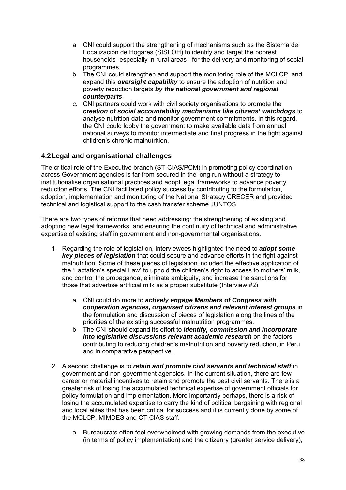- a. CNI could support the strengthening of mechanisms such as the Sistema de Focalización de Hogares (SISFOH) to identify and target the poorest households -especially in rural areas– for the delivery and monitoring of social programmes.
- b. The CNI could strengthen and support the monitoring role of the MCLCP, and expand this *oversight capability* to ensure the adoption of nutrition and poverty reduction targets *by the national government and regional counterparts*.
- c. CNI partners could work with civil society organisations to promote the *creation of social accountability mechanisms like citizens' watchdogs* to analyse nutrition data and monitor government commitments. In this regard, the CNI could lobby the government to make available data from annual national surveys to monitor intermediate and final progress in the fight against children's chronic malnutrition.

### **4.2 Legal and organisational challenges**

The critical role of the Executive branch (ST-CIAS/PCM) in promoting policy coordination across Government agencies is far from secured in the long run without a strategy to institutionalise organisational practices and adopt legal frameworks to advance poverty reduction efforts. The CNI facilitated policy success by contributing to the formulation, adoption, implementation and monitoring of the National Strategy CRECER and provided technical and logistical support to the cash transfer scheme JUNTOS.

There are two types of reforms that need addressing: the strengthening of existing and adopting new legal frameworks, and ensuring the continuity of technical and administrative expertise of existing staff in government and non-governmental organisations.

- 1. Regarding the role of legislation, interviewees highlighted the need to *adopt some key pieces of legislation* that could secure and advance efforts in the fight against malnutrition. Some of these pieces of legislation included the effective application of the 'Lactation's special Law' to uphold the children's right to access to mothers' milk, and control the propaganda, eliminate ambiguity, and increase the sanctions for those that advertise artificial milk as a proper substitute (Interview #2).
	- a. CNI could do more to *actively engage Members of Congress with cooperation agencies, organised citizens and relevant interest groups* in the formulation and discussion of pieces of legislation along the lines of the priorities of the existing successful malnutrition programmes.
	- b. The CNI should expand its effort to *identify, commission and incorporate into legislative discussions relevant academic research* on the factors contributing to reducing children's malnutrition and poverty reduction, in Peru and in comparative perspective.
- 2. A second challenge is to *retain and promote civil servants and technical staff* in government and non-government agencies. In the current situation, there are few career or material incentives to retain and promote the best civil servants. There is a greater risk of losing the accumulated technical expertise of government officials for policy formulation and implementation. More importantly perhaps, there is a risk of losing the accumulated expertise to carry the kind of political bargaining with regional and local elites that has been critical for success and it is currently done by some of the MCLCP, MIMDES and CT-CIAS staff.
	- a. Bureaucrats often feel overwhelmed with growing demands from the executive (in terms of policy implementation) and the citizenry (greater service delivery),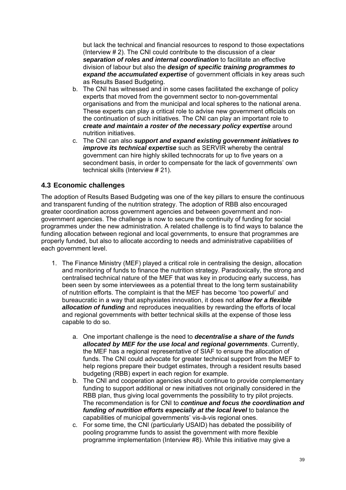but lack the technical and financial resources to respond to those expectations (Interview # 2). The CNI could contribute to the discussion of a clear *separation of roles and internal coordination* to facilitate an effective division of labour but also the *design of specific training programmes to expand the accumulated expertise* of government officials in key areas such as Results Based Budgeting.

- b. The CNI has witnessed and in some cases facilitated the exchange of policy experts that moved from the government sector to non-governmental organisations and from the municipal and local spheres to the national arena. These experts can play a critical role to advise new government officials on the continuation of such initiatives. The CNI can play an important role to *create and maintain a roster of the necessary policy expertise* around nutrition initiatives.
- c. The CNI can also *support and expand existing government initiatives to improve its technical expertise* such as SERVIR whereby the central government can hire highly skilled technocrats for up to five years on a secondment basis, in order to compensate for the lack of governments' own technical skills (Interview # 21).

### **4.3 Economic challenges**

The adoption of Results Based Budgeting was one of the key pillars to ensure the continuous and transparent funding of the nutrition strategy. The adoption of RBB also encouraged greater coordination across government agencies and between government and nongovernment agencies. The challenge is now to secure the continuity of funding for social programmes under the new administration. A related challenge is to find ways to balance the funding allocation between regional and local governments, to ensure that programmes are properly funded, but also to allocate according to needs and administrative capabilities of each government level.

- 1. The Finance Ministry (MEF) played a critical role in centralising the design, allocation and monitoring of funds to finance the nutrition strategy. Paradoxically, the strong and centralised technical nature of the MEF that was key in producing early success, has been seen by some interviewees as a potential threat to the long term sustainability of nutrition efforts. The complaint is that the MEF has become 'too powerful' and bureaucratic in a way that asphyxiates innovation, it does not *allow for a flexible allocation of funding* and reproduces inequalities by rewarding the efforts of local and regional governments with better technical skills at the expense of those less capable to do so.
	- a. One important challenge is the need to *decentralise a share of the funds allocated by MEF for the use local and regional governments*. Currently, the MEF has a regional representative of SIAF to ensure the allocation of funds. The CNI could advocate for greater technical support from the MEF to help regions prepare their budget estimates, through a resident results based budgeting (RBB) expert in each region for example.
	- b. The CNI and cooperation agencies should continue to provide complementary funding to support additional or new initiatives not originally considered in the RBB plan, thus giving local governments the possibility to try pilot projects. The recommendation is for CNI to *continue and focus the coordination and funding of nutrition efforts especially at the local level* to balance the capabilities of municipal governments' vis-à-vis regional ones.
	- c. For some time, the CNI (particularly USAID) has debated the possibility of pooling programme funds to assist the government with more flexible programme implementation (Interview #8). While this initiative may give a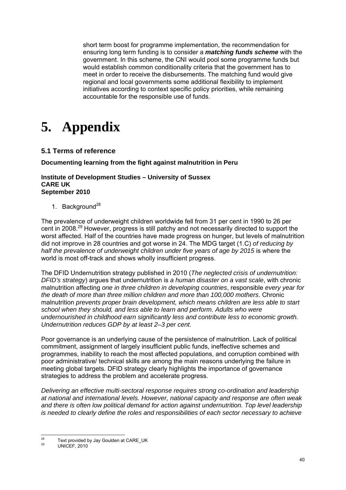short term boost for programme implementation, the recommendation for ensuring long term funding is to consider a *matching funds scheme* with the government. In this scheme, the CNI would pool some programme funds but would establish common conditionality criteria that the government has to meet in order to receive the disbursements. The matching fund would give regional and local governments some additional flexibility to implement initiatives according to context specific policy priorities, while remaining accountable for the responsible use of funds.

## **5. Appendix**

### **5.1 Terms of reference**

**Documenting learning from the fight against malnutrition in Peru** 

#### **Institute of Development Studies – University of Sussex CARE UK September 2010**

1. Background $^{28}$ 

The prevalence of underweight children worldwide fell from 31 per cent in 1990 to 26 per cent in 2008.29 However, progress is still patchy and not necessarily directed to support the worst affected. Half of the countries have made progress on hunger, but levels of malnutrition did not improve in 28 countries and got worse in 24. The MDG target (1.C) *of reducing by*  half the prevalence of underweight children under five years of age by 2015 is where the world is most off-track and shows wholly insufficient progress.

The DFID Undernutrition strategy published in 2010 (*The neglected crisis of undernutrition: DFID's strategy*) argues that undernutrition is *a human disaster on a vast scale*, with chronic malnutrition affecting *one in three children in developing countries*, responsible *every year for the death of more than three million children and more than 100,000 mothers*. Chronic malnutrition *prevents proper brain development, which means children are less able to start school when they should, and less able to learn and perform. Adults who were undernourished in childhood earn significantly less and contribute less to economic growth. Undernutrition reduces GDP by at least 2–3 per cent.* 

Poor governance is an underlying cause of the persistence of malnutrition. Lack of political commitment, assignment of largely insufficient public funds, ineffective schemes and programmes, inability to reach the most affected populations, and corruption combined with poor administrative/ technical skills are among the main reasons underlying the failure in meeting global targets. DFID strategy clearly highlights the importance of governance strategies to address the problem and accelerate progress.

*Delivering an effective multi-sectoral response requires strong co-ordination and leadership at national and international levels. However, national capacity and response are often weak and there is often low political demand for action against undernutrition. Top level leadership is needed to clearly define the roles and responsibilities of each sector necessary to achieve* 

 $28$ <sup>28</sup> Text provided by Jay Goulden at CARE\_UK <sup>29</sup> UNICEF, 2010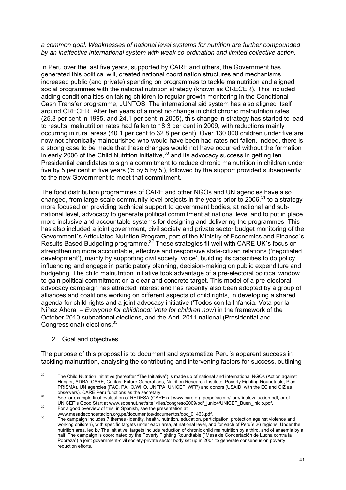#### *a common goal. Weaknesses of national level systems for nutrition are further compounded by an ineffective international system with weak co-ordination and limited collective action.*

In Peru over the last five years, supported by CARE and others, the Government has generated this political will, created national coordination structures and mechanisms, increased public (and private) spending on programmes to tackle malnutrition and aligned social programmes with the national nutrition strategy (known as CRECER). This included adding conditionalities on taking children to regular growth monitoring in the Conditional Cash Transfer programme, JUNTOS. The international aid system has also aligned itself around CRECER. After ten years of almost no change in child chronic malnutrition rates (25.8 per cent in 1995, and 24.1 per cent in 2005), this change in strategy has started to lead to results: malnutrition rates had fallen to 18.3 per cent in 2009, with reductions mainly occurring in rural areas (40.1 per cent to 32.8 per cent). Over 130,000 children under five are now not chronically malnourished who would have been had rates not fallen. Indeed, there is a strong case to be made that these changes would not have occurred without the formation in early 2006 of the Child Nutrition Initiative,  $30$  and its advocacy success in getting ten Presidential candidates to sign a commitment to reduce chronic malnutrition in children under five by 5 per cent in five years ('5 by 5 by 5'), followed by the support provided subsequently to the new Government to meet that commitment.

The food distribution programmes of CARE and other NGOs and UN agencies have also changed, from large-scale community level projects in the years prior to  $2006<sup>31</sup>$  to a strategy more focused on providing technical support to government bodies, at national and subnational level, advocacy to generate political commitment at national level and to put in place more inclusive and accountable systems for designing and delivering the programmes. This has also included a joint government, civil society and private sector budget monitoring of the Government´s Articulated Nutrition Program, part of the Ministry of Economics and Finance´s Results Based Budgeting programme.<sup>32</sup> These strategies fit well with CARE UK's focus on strengthening more accountable, effective and responsive state-citizen relations ('negotiated development'), mainly by supporting civil society 'voice', building its capacities to do policy influencing and engage in participatory planning, decision-making on public expenditure and budgeting. The child malnutrition initiative took advantage of a pre-electoral political window to gain political commitment on a clear and concrete target. This model of a pre-electoral advocacy campaign has attracted interest and has recently also been adopted by a group of alliances and coalitions working on different aspects of child rights, in developing a shared agenda for child rights and a joint advocacy initiative ('Todos con la Infancia. Vota por la Niñez Ahora' – *Everyone for childhood: Vote for children now*) in the framework of the October 2010 subnational elections, and the April 2011 national (Presidential and Congressional) elections.<sup>33</sup>

2. Goal and objectives

The purpose of this proposal is to document and systematize Peru´s apparent success in tackling malnutrition, analysing the contributing and intervening factors for success, outlining

 $30<sup>2</sup>$ 30 The Child Nutrition Initiative (hereafter "The Initiative") is made up of national and international NGOs (Action against Hunger, ADRA, CARE, Caritas, Future Generations, Nutrition Research Institute, Poverty Fighting Roundtable, Plan, PRISMA), UN agencies (FAO, PAHO/WHO, UNFPA, UNICEF, WFP) and donors (USAID, with the EC and GIZ as observers). CARE Peru functions as the secretary.

<sup>31</sup> See for example final evaluation of REDESA (CARE) at www.care.org.pe/pdfs/cinfo/libro/finalevaluation.pdf, or of UNICEF´s Good Start at www.sopenut.net/site1/files/congreso2009/pdf\_junio4/UNICEF\_Buen\_inicio.pdf.<br>
For a good overview of this, in Spanish, see the presentation at<br>
www.mesadeconcertacion.org.pe/documentos/documentos/doc

www.mesadeconcertacion.org.pe/documentos/documentos/documentos/documentos/documentos/documentos/2015.<br>The campaign includes 7 themes (Identity, health, nutrition, education, participation, protection against violence and working children), with specific targets under each area, at national level, and for each of Peru´s 26 regions. Under the nutrition area, led by The Initiative, targets include reduction of chronic child malnutrition by a third, and of anaemia by a half. The campaign is coordinated by the Poverty Fighting Roundtable ("Mesa de Concertación de Lucha contra la Pobreza") a joint government-civil society-private sector body set up in 2001 to generate consensus on poverty reduction efforts.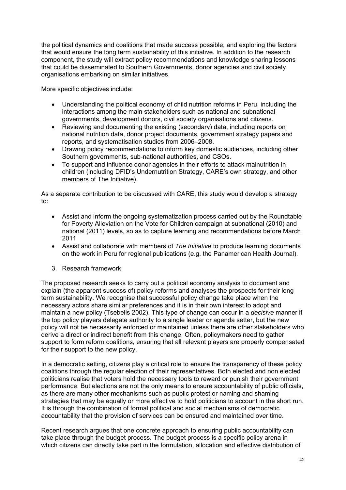the political dynamics and coalitions that made success possible, and exploring the factors that would ensure the long term sustainability of this initiative. In addition to the research component, the study will extract policy recommendations and knowledge sharing lessons that could be disseminated to Southern Governments, donor agencies and civil society organisations embarking on similar initiatives.

More specific objectives include:

- Understanding the political economy of child nutrition reforms in Peru, including the interactions among the main stakeholders such as national and subnational governments, development donors, civil society organisations and citizens.
- Reviewing and documenting the existing (secondary) data, including reports on national nutrition data, donor project documents, government strategy papers and reports, and systematisation studies from 2006–2008.
- Drawing policy recommendations to inform key domestic audiences, including other Southern governments, sub-national authorities, and CSOs.
- To support and influence donor agencies in their efforts to attack malnutrition in children (including DFID's Undernutrition Strategy, CARE's own strategy, and other members of The Initiative).

As a separate contribution to be discussed with CARE, this study would develop a strategy to:

- Assist and inform the ongoing systematization process carried out by the Roundtable for Poverty Alleviation on the Vote for Children campaign at subnational (2010) and national (2011) levels, so as to capture learning and recommendations before March 2011
- Assist and collaborate with members of *The Initiative* to produce learning documents on the work in Peru for regional publications (e.g. the Panamerican Health Journal).
- 3. Research framework

The proposed research seeks to carry out a political economy analysis to document and explain (the apparent success of) policy reforms and analyses the prospects for their long term sustainability. We recognise that successful policy change take place when the necessary actors share similar preferences and it is in their own interest to adopt and maintain a new policy (Tsebelis 2002). This type of change can occur in a *decisive* manner if the top policy players delegate authority to a single leader or agenda setter, but the new policy will not be necessarily enforced or maintained unless there are other stakeholders who derive a direct or indirect benefit from this change. Often, policymakers need to gather support to form reform coalitions, ensuring that all relevant players are properly compensated for their support to the new policy.

In a democratic setting, citizens play a critical role to ensure the transparency of these policy coalitions through the regular election of their representatives. Both elected and non elected politicians realise that voters hold the necessary tools to reward or punish their government performance. But elections are not the only means to ensure accountability of public officials, as there are many other mechanisms such as public protest or naming and shaming strategies that may be equally or more effective to hold politicians to account in the short run. It is through the combination of formal political and social mechanisms of democratic accountability that the provision of services can be ensured and maintained over time.

Recent research argues that one concrete approach to ensuring public accountability can take place through the budget process. The budget process is a specific policy arena in which citizens can directly take part in the formulation, allocation and effective distribution of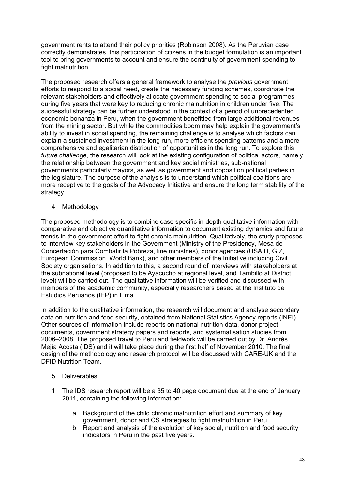government rents to attend their policy priorities (Robinson 2008). As the Peruvian case correctly demonstrates, this participation of citizens in the budget formulation is an important tool to bring governments to account and ensure the continuity of government spending to fight malnutrition.

The proposed research offers a general framework to analyse the *previous* government efforts to respond to a social need, create the necessary funding schemes, coordinate the relevant stakeholders and effectively allocate government spending to social programmes during five years that were key to reducing chronic malnutrition in children under five. The successful strategy can be further understood in the context of a period of unprecedented economic bonanza in Peru, when the government benefitted from large additional revenues from the mining sector. But while the commodities boom may help explain the government's ability to invest in social spending, the remaining challenge is to analyse which factors can explain a sustained investment in the long run, more efficient spending patterns and a more comprehensive and egalitarian distribution of opportunities in the long run. To explore this *future challenge*, the research will look at the existing configuration of political actors, namely the relationship between the government and key social ministries, sub-national governments particularly mayors, as well as government and opposition political parties in the legislature. The purpose of the analysis is to understand which political coalitions are more receptive to the goals of the Advocacy Initiative and ensure the long term stability of the strategy.

4. Methodology

The proposed methodology is to combine case specific in-depth qualitative information with comparative and objective quantitative information to document existing dynamics and future trends in the government effort to fight chronic malnutrition. Qualitatively, the study proposes to interview key stakeholders in the Government (Ministry of the Presidency, Mesa de Concertación para Combatir la Pobreza, line ministries), donor agencies (USAID, GIZ, European Commission, World Bank), and other members of the Initiative including Civil Society organisations. In addition to this, a second round of interviews with stakeholders at the subnational level (proposed to be Ayacucho at regional level, and Tambillo at District level) will be carried out. The qualitative information will be verified and discussed with members of the academic community, especially researchers based at the Instituto de Estudios Peruanos (IEP) in Lima.

In addition to the qualitative information, the research will document and analyse secondary data on nutrition and food security, obtained from National Statistics Agency reports (INEI). Other sources of information include reports on national nutrition data, donor project documents, government strategy papers and reports, and systematisation studies from 2006–2008. The proposed travel to Peru and fieldwork will be carried out by Dr. Andrés Mejía Acosta (IDS) and it will take place during the first half of November 2010. The final design of the methodology and research protocol will be discussed with CARE-UK and the DFID Nutrition Team.

- 5. Deliverables
- 1. The IDS research report will be a 35 to 40 page document due at the end of January 2011, containing the following information:
	- a. Background of the child chronic malnutrition effort and summary of key government, donor and CS strategies to fight malnutrition in Peru.
	- b. Report and analysis of the evolution of key social, nutrition and food security indicators in Peru in the past five years.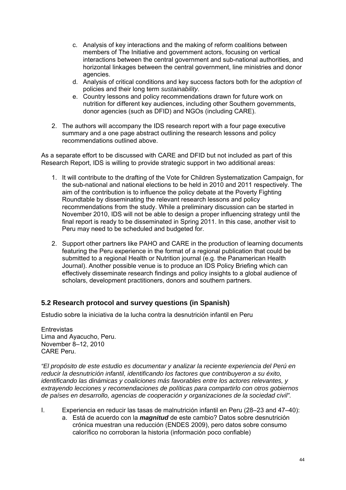- c. Analysis of key interactions and the making of reform coalitions between members of The Initiative and government actors, focusing on vertical interactions between the central government and sub-national authorities, and horizontal linkages between the central government, line ministries and donor agencies.
- d. Analysis of critical conditions and key success factors both for the *adoption* of policies and their long term *sustainability*.
- e. Country lessons and policy recommendations drawn for future work on nutrition for different key audiences, including other Southern governments, donor agencies (such as DFID) and NGOs (including CARE).
- 2. The authors will accompany the IDS research report with a four page executive summary and a one page abstract outlining the research lessons and policy recommendations outlined above.

As a separate effort to be discussed with CARE and DFID but not included as part of this Research Report, IDS is willing to provide strategic support in two additional areas:

- 1. It will contribute to the drafting of the Vote for Children Systematization Campaign, for the sub-national and national elections to be held in 2010 and 2011 respectively. The aim of the contribution is to influence the policy debate at the Poverty Fighting Roundtable by disseminating the relevant research lessons and policy recommendations from the study. While a preliminary discussion can be started in November 2010, IDS will not be able to design a proper influencing strategy until the final report is ready to be disseminated in Spring 2011. In this case, another visit to Peru may need to be scheduled and budgeted for.
- 2. Support other partners like PAHO and CARE in the production of learning documents featuring the Peru experience in the format of a regional publication that could be submitted to a regional Health or Nutrition journal (e.g. the Panamerican Health Journal). Another possible venue is to produce an IDS Policy Briefing which can effectively disseminate research findings and policy insights to a global audience of scholars, development practitioners, donors and southern partners.

### **5.2 Research protocol and survey questions (in Spanish)**

Estudio sobre la iniciativa de la lucha contra la desnutrición infantil en Peru

**Entrevistas** Lima and Ayacucho, Peru. November 8–12, 2010 CARE Peru.

*"El propósito de este estudio es documentar y analizar la reciente experiencia del Perú en reducir la desnutrición infantil, identificando los factores que contribuyeron a su éxito, identificando las dinámicas y coaliciones más favorables entre los actores relevantes, y extrayendo lecciones y recomendaciones de políticas para compartirlo con otros gobiernos de países en desarrollo, agencias de cooperación y organizaciones de la sociedad civil".* 

- I. Experiencia en reducir las tasas de malnutrición infantil en Peru (28–23 and 47–40):
	- a. Está de acuerdo con la *magnitud* de este cambio? Datos sobre desnutrición crónica muestran una reducción (ENDES 2009), pero datos sobre consumo calorífico no corroboran la historia (información poco confiable)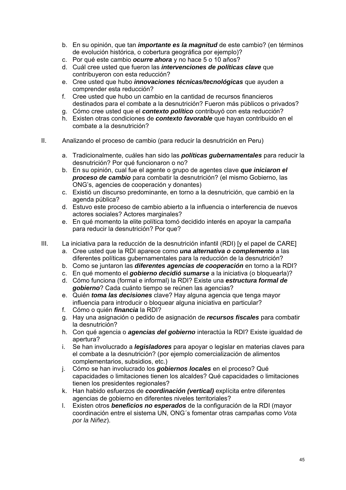- b. En su opinión, que tan *importante es la magnitud* de este cambio? (en términos de evolución histórica, o cobertura geográfica por ejemplo)?
- c. Por qué este cambio *ocurre ahora* y no hace 5 o 10 años?
- d. Cuál cree usted que fueron las *intervenciones de políticas clave* que contribuyeron con esta reducción?
- e. Cree usted que hubo *innovaciones técnicas/tecnológicas* que ayuden a comprender esta reducción?
- f. Cree usted que hubo un cambio en la cantidad de recursos financieros destinados para el combate a la desnutrición? Fueron más públicos o privados?
- g. Cómo cree usted que el *contexto político* contribuyó con esta reducción?
- h. Existen otras condiciones de *contexto favorable* que hayan contribuido en el combate a la desnutrición?
- II. Analizando el proceso de cambio (para reducir la desnutrición en Peru)
	- a. Tradicionalmente, cuáles han sido las *políticas gubernamentales* para reducir la desnutrición? Por qué funcionaron o no?
	- b. En su opinión, cual fue el agente o grupo de agentes clave *que iniciaron el proceso de cambio* para combatir la desnutrición? (el mismo Gobierno, las ONG's, agencies de cooperación y donantes)
	- c. Existió un discurso predominante, en torno a la desnutrición, que cambió en la agenda pública?
	- d. Estuvo este proceso de cambio abierto a la influencia o interferencia de nuevos actores sociales? Actores marginales?
	- e. En qué momento la elite política tomó decidido interés en apoyar la campaña para reducir la desnutrición? Por que?
- III. La iniciativa para la reducción de la desnutrición infantil (RDI) [y el papel de CARE]
	- a. Cree usted que la RDI aparece como *una alternativa o complemento* a las diferentes políticas gubernamentales para la reducción de la desnutrición?
	- b. Como se juntaron las *diferentes agencias de cooperación* en torno a la RDI?
	- c. En qué momento el *gobierno decidió sumarse* a la iniciativa (o bloquearla)?
	- d. Cómo funciona (formal e informal) la RDI? Existe una *estructura formal de gobierno*? Cada cuánto tiempo se reúnen las agencias?
	- e. Quién *toma las decisiones* clave? Hay alguna agencia que tenga mayor influencia para introducir o bloquear alguna iniciativa en particular?
	- f. Cómo o quién *financia* la RDI?
	- g. Hay una asignación o pedido de asignación de *recursos fiscales* para combatir la desnutrición?
	- h. Con qué agencia o *agencias del gobierno* interactúa la RDI? Existe igualdad de apertura?
	- i. Se han involucrado a *legisladores* para apoyar o legislar en materias claves para el combate a la desnutrición? (por ejemplo comercialización de alimentos complementarios, subsidios, etc.)
	- j. Cómo se han involucrado los *gobiernos locales* en el proceso? Qué capacidades o limitaciones tienen los alcaldes? Qué capacidades o limitaciones tienen los presidentes regionales?
	- k. Han habido esfuerzos de *coordinación (vertical)* explícita entre diferentes agencias de gobierno en diferentes niveles territoriales?
	- l. Existen otros *beneficios no esperados* de la configuración de la RDI (mayor coordinación entre el sistema UN, ONG´s fomentar otras campañas como *Vota por la Niñez*).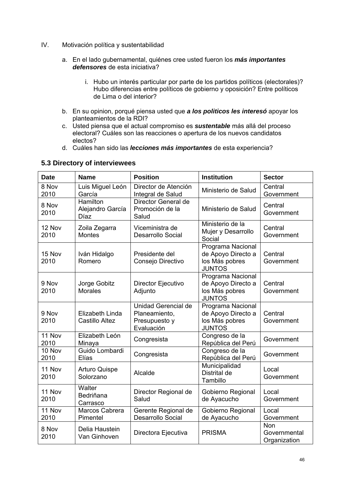- IV. Motivación política y sustentabilidad
	- a. En el lado gubernamental, quiénes cree usted fueron los *más importantes defensores* de esta iniciativa?
		- i. Hubo un interés particular por parte de los partidos políticos (electorales)? Hubo diferencias entre políticos de gobierno y oposición? Entre políticos de Lima o del interior?
	- b. En su opinion, porqué piensa usted que *a los politicos les interesó* apoyar los planteamientos de la RDI?
	- c. Usted piensa que el actual compromiso es *sustentable* más allá del proceso electoral? Cuáles son las reacciones o apertura de los nuevos candidatos electos?
	- d. Cuáles han sido las *lecciones más importantes* de esta experiencia?

| <b>Date</b>    | <b>Name</b>                              | <b>Position</b>                                                     | <b>Institution</b>                                                         | <b>Sector</b>                              |
|----------------|------------------------------------------|---------------------------------------------------------------------|----------------------------------------------------------------------------|--------------------------------------------|
| 8 Nov<br>2010  | Luis Miguel León<br>García               | Director de Atención<br>Integral de Salud                           | Ministerio de Salud                                                        | Central<br>Government                      |
| 8 Nov<br>2010  | Hamilton<br>Alejandro García<br>Díaz     | Director General de<br>Promoción de la<br>Salud                     | Ministerio de Salud                                                        | Central<br>Government                      |
| 12 Nov<br>2010 | Zoila Zegarra<br><b>Montes</b>           | Viceministra de<br><b>Desarrollo Social</b>                         | Ministerio de la<br>Mujer y Desarrollo<br>Social                           | Central<br>Government                      |
| 15 Nov<br>2010 | Iván Hidalgo<br>Romero                   | Presidente del<br>Consejo Directivo                                 | Programa Nacional<br>de Apoyo Directo a<br>los Más pobres<br><b>JUNTOS</b> | Central<br>Government                      |
| 9 Nov<br>2010  | Jorge Gobitz<br><b>Morales</b>           | Director Ejecutivo<br>Adjunto                                       | Programa Nacional<br>de Apoyo Directo a<br>los Más pobres<br><b>JUNTOS</b> | Central<br>Government                      |
| 9 Nov<br>2010  | Elizabeth Linda<br><b>Castillo Altez</b> | Unidad Gerencial de<br>Planeamiento,<br>Presupuesto y<br>Evaluación | Programa Nacional<br>de Apoyo Directo a<br>los Más pobres<br><b>JUNTOS</b> | Central<br>Government                      |
| 11 Nov<br>2010 | Elizabeth León<br>Minaya                 | Congresista                                                         | Congreso de la<br>República del Perú                                       | Government                                 |
| 10 Nov<br>2010 | Guido Lombardi<br>Elías                  | Congresista                                                         | Congreso de la<br>República del Perú                                       | Government                                 |
| 11 Nov<br>2010 | <b>Arturo Quispe</b><br>Solorzano        | Alcalde                                                             | Municipalidad<br>Distrital de<br>Tambillo                                  | Local<br>Government                        |
| 11 Nov<br>2010 | Walter<br>Bedriñana<br>Carrasco          | Director Regional de<br>Salud                                       | Gobierno Regional<br>de Ayacucho                                           | Local<br>Government                        |
| 11 Nov<br>2010 | Marcos Cabrera<br>Pimentel               | Gerente Regional de<br><b>Desarrollo Social</b>                     | Gobierno Regional<br>de Ayacucho                                           | Local<br>Government                        |
| 8 Nov<br>2010  | Delia Haustein<br>Van Ginhoven           | Directora Ejecutiva                                                 | <b>PRISMA</b>                                                              | <b>Non</b><br>Governmental<br>Organization |

#### **5.3 Directory of interviewees**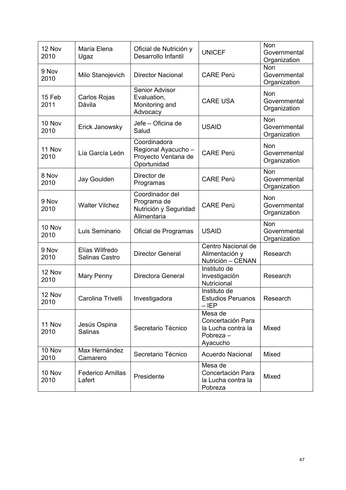| 12 Nov<br>2010 | María Elena<br>Ugaz                | Oficial de Nutrición y<br>Desarrollo Infantil                             | <b>UNICEF</b>                                                              | Non<br>Governmental<br>Organization        |
|----------------|------------------------------------|---------------------------------------------------------------------------|----------------------------------------------------------------------------|--------------------------------------------|
| 9 Nov<br>2010  | Milo Stanojevich                   | <b>Director Nacional</b>                                                  | <b>CARE Perú</b>                                                           | Non<br>Governmental<br>Organization        |
| 15 Feb<br>2011 | Carlos Rojas<br>Dávila             | Senior Advisor<br>Evaluation,<br>Monitoring and<br>Advocacy               | <b>CARE USA</b>                                                            | <b>Non</b><br>Governmental<br>Organization |
| 10 Nov<br>2010 | Erick Janowsky                     | Jefe - Oficina de<br>Salud                                                | <b>USAID</b>                                                               | <b>Non</b><br>Governmental<br>Organization |
| 11 Nov<br>2010 | Lía García León                    | Coordinadora<br>Regional Ayacucho -<br>Proyecto Ventana de<br>Oportunidad | <b>CARE Perú</b>                                                           | <b>Non</b><br>Governmental<br>Organization |
| 8 Nov<br>2010  | Jay Goulden                        | Director de<br>Programas                                                  | <b>CARE Perú</b>                                                           | Non<br>Governmental<br>Organization        |
| 9 Nov<br>2010  | <b>Walter Vilchez</b>              | Coordinador del<br>Programa de<br>Nutrición y Seguridad<br>Alimentaria    | <b>CARE Perú</b>                                                           | <b>Non</b><br>Governmental<br>Organization |
| 10 Nov<br>2010 | Luis Seminario                     | Oficial de Programas                                                      | <b>USAID</b>                                                               | Non<br>Governmental<br>Organization        |
| 9 Nov<br>2010  | Elías Wilfredo<br>Salinas Castro   | <b>Director General</b>                                                   | Centro Nacional de<br>Alimentación y<br>Nutrición - CENAN                  | Research                                   |
| 12 Nov<br>2010 | Mary Penny                         | Directora General                                                         | Instituto de<br>Investigación<br>Nutricional                               | Research                                   |
| 12 Nov<br>2010 | Carolina Trivelli                  | Investigadora                                                             | Instituto de<br><b>Estudios Peruanos</b><br>$-$ IEP                        | Research                                   |
| 11 Nov<br>2010 | Jesús Ospina<br>Salinas            | Secretario Técnico                                                        | Mesa de<br>Concertación Para<br>la Lucha contra la<br>Pobreza-<br>Ayacucho | Mixed                                      |
| 10 Nov<br>2010 | Max Hernández<br>Camarero          | Secretario Técnico                                                        | Acuerdo Nacional                                                           | Mixed                                      |
| 10 Nov<br>2010 | <b>Federico Arnillas</b><br>Lafert | Presidente                                                                | Mesa de<br>Concertación Para<br>la Lucha contra la<br>Pobreza              | Mixed                                      |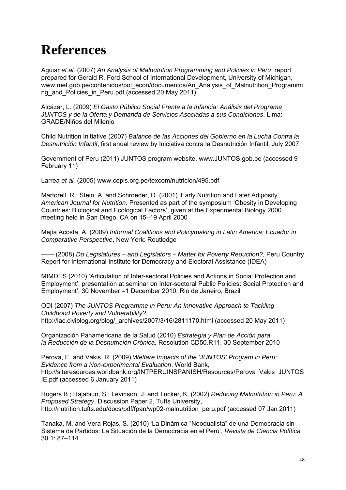## **References**

Aguiar *et al.* (2007) *An Analysis of Malnutrition Programming and Policies in Peru*, report prepared for Gerald R. Ford School of International Development, University of Michigan, www.mef.gob.pe/contenidos/pol\_econ/documentos/An\_Analysis\_of\_Malnutrition\_Programmi ng\_and\_Policies\_in\_Peru.pdf (accessed 20 May 2011)

Alcázar, L. (2009) *El Gasto Público Social Frente a la Infancia: Análisis del Programa JUNTOS y de la Oferta y Demanda de Servicios Asociadas a sus Condiciones*, Lima: GRADE/Niños del Milenio

Child Nutrition Initiative (2007) *Balance de las Acciones del Gobierno en la Lucha Contra la Desnutrición Infantil*, first anual review by Iniciativa contra la Desnutrición Infantil, July 2007

Government of Peru (2011) JUNTOS program website, www.JUNTOS.gob.pe (accessed 9 February 11)

Larrea *et al.* (2005) www.cepis.org.pe/texcom/nutricion/495.pdf

Martorell, R.; Stein, A. and Schroeder, D. (2001) 'Early Nutrition and Later Adiposity', *American Journal for Nutrition*. Presented as part of the symposium 'Obesity in Developing Countries: Biological and Ecological Factors', given at the Experimental Biology 2000 meeting held in San Diego, CA on 15–19 April 2000

Mejía Acosta, A. (2009) *Informal Coalitions and Policymaking in Latin America: Ecuador in Comparative Perspective*, New York: Routledge

—— (2008) *Do Legislatures – and Legislators – Matter for Poverty Reduction?*, Peru Country Report for International Institute for Democracy and Electoral Assistance (IDEA)

MIMDES (2010) 'Articulation of Inter-sectoral Policies and Actions in Social Protection and Employment', presentation at seminar on Inter-sectoral Public Policies: Social Protection and Employment', 30 November –1 December 2010, Rio de Janeiro, Brazil

ODI (2007) *The JUNTOS Programme in Peru: An Innovative Approach to Tackling Childhood Poverty and Vulnerability?*, http://lac.civiblog.org/blog/\_archives/2007/3/16/2811170.html (accessed 20 May 2011)

Organización Panamericana de la Salud (2010) *Estrategia y Plan de Acción para la Reducción de la Desnutrición Crónica,* Resolution CD50.R11, 30 September 2010

Perova, E. and Vakis, R. (2009) *Welfare Impacts of the 'JUNTOS' Program in Peru: Evidence from a Non-experimental Evaluation*, World Bank, http://siteresources.worldbank.org/INTPERUINSPANISH/Resources/Perova\_Vakis\_JUNTOS IE.pdf (accessed 6 January 2011)

Rogers B.; Rajabiun, S.; Levinson, J. and Tucker, K. (2002) *Reducing Malnutrition in Peru: A Proposed Strategy*, Discussion Paper 2, Tufts University, http://nutrition.tufts.edu/docs/pdf/fpan/wp02-malnutrition\_peru.pdf (accessed 07 Jan 2011)

Tanaka, M. and Vera Rojas, S. (2010) 'La Dinámica "Neodualista" de una Democracia sin Sistema de Partidos: La Situación de la Democracia en el Perú', *Revista de Ciencia Política* 30.1: 87–114